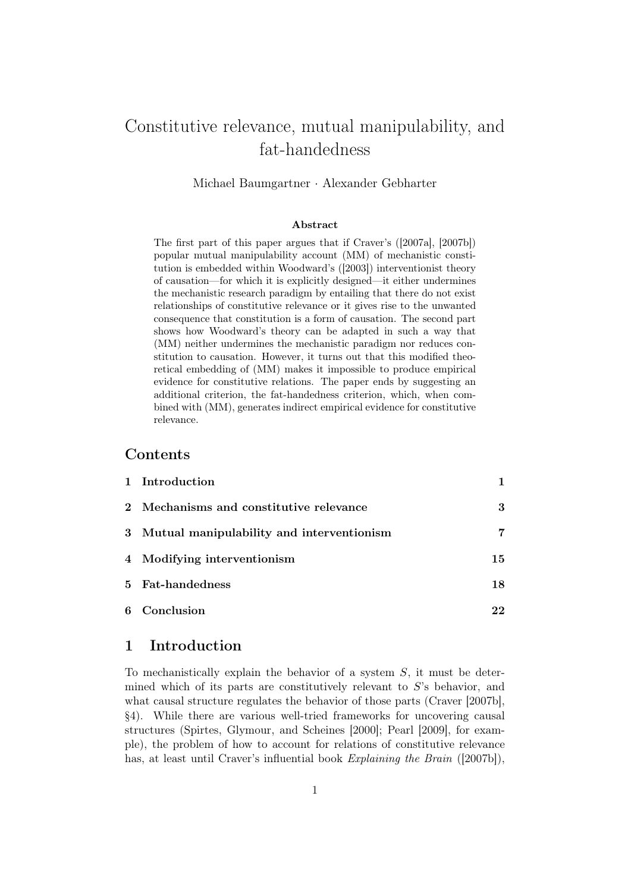# Constitutive relevance, mutual manipulability, and fat-handedness

Michael Baumgartner · Alexander Gebharter

#### Abstract

The first part of this paper argues that if Craver's ([2007a], [2007b]) popular mutual manipulability account (MM) of mechanistic constitution is embedded within Woodward's ([2003]) interventionist theory of causation—for which it is explicitly designed—it either undermines the mechanistic research paradigm by entailing that there do not exist relationships of constitutive relevance or it gives rise to the unwanted consequence that constitution is a form of causation. The second part shows how Woodward's theory can be adapted in such a way that (MM) neither undermines the mechanistic paradigm nor reduces constitution to causation. However, it turns out that this modified theoretical embedding of (MM) makes it impossible to produce empirical evidence for constitutive relations. The paper ends by suggesting an additional criterion, the fat-handedness criterion, which, when combined with (MM), generates indirect empirical evidence for constitutive relevance.

#### Contents

| 1 Introduction                              |    |
|---------------------------------------------|----|
| 2 Mechanisms and constitutive relevance     | 3  |
| 3 Mutual manipulability and interventionism | 7  |
| 4 Modifying interventionism                 | 15 |
| 5 Fat-handedness                            | 18 |
| 6 Conclusion                                | 22 |

# 1 Introduction

To mechanistically explain the behavior of a system S, it must be determined which of its parts are constitutively relevant to S's behavior, and what causal structure regulates the behavior of those parts (Craver [2007b], §4). While there are various well-tried frameworks for uncovering causal structures (Spirtes, Glymour, and Scheines [2000]; Pearl [2009], for example), the problem of how to account for relations of constitutive relevance has, at least until Craver's influential book Explaining the Brain ([2007b]),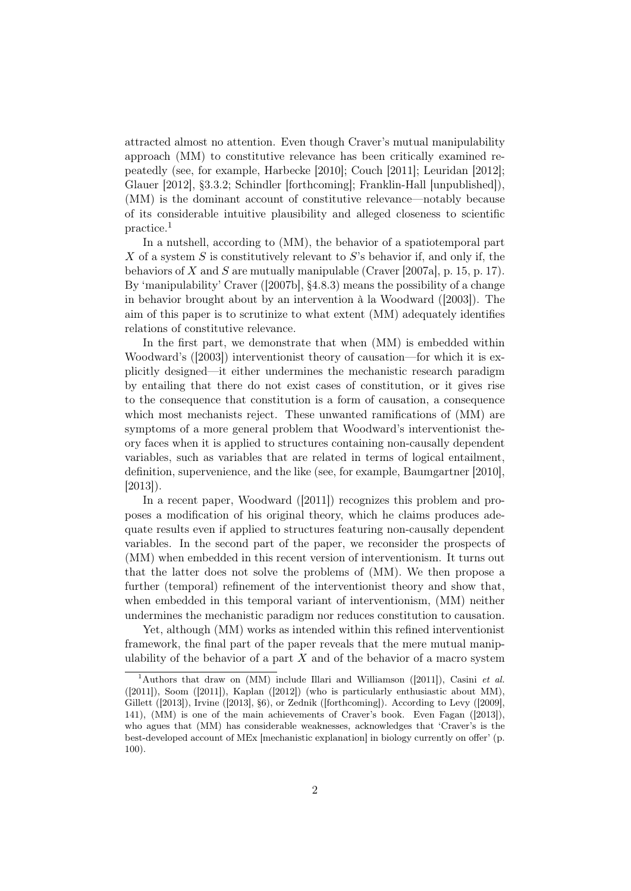attracted almost no attention. Even though Craver's mutual manipulability approach (MM) to constitutive relevance has been critically examined repeatedly (see, for example, Harbecke [2010]; Couch [2011]; Leuridan [2012]; Glauer [2012], §3.3.2; Schindler [forthcoming]; Franklin-Hall [unpublished]), (MM) is the dominant account of constitutive relevance—notably because of its considerable intuitive plausibility and alleged closeness to scientific practice.<sup>1</sup>

In a nutshell, according to (MM), the behavior of a spatiotemporal part X of a system S is constitutively relevant to S's behavior if, and only if, the behaviors of X and S are mutually manipulable (Craver [2007a], p. 15, p. 17). By 'manipulability' Craver ([2007b], §4.8.3) means the possibility of a change in behavior brought about by an intervention à la Woodward ([2003]). The aim of this paper is to scrutinize to what extent (MM) adequately identifies relations of constitutive relevance.

In the first part, we demonstrate that when (MM) is embedded within Woodward's ([2003]) interventionist theory of causation—for which it is explicitly designed—it either undermines the mechanistic research paradigm by entailing that there do not exist cases of constitution, or it gives rise to the consequence that constitution is a form of causation, a consequence which most mechanists reject. These unwanted ramifications of  $(MM)$  are symptoms of a more general problem that Woodward's interventionist theory faces when it is applied to structures containing non-causally dependent variables, such as variables that are related in terms of logical entailment, definition, supervenience, and the like (see, for example, Baumgartner [2010], [2013]).

In a recent paper, Woodward ([2011]) recognizes this problem and proposes a modification of his original theory, which he claims produces adequate results even if applied to structures featuring non-causally dependent variables. In the second part of the paper, we reconsider the prospects of (MM) when embedded in this recent version of interventionism. It turns out that the latter does not solve the problems of (MM). We then propose a further (temporal) refinement of the interventionist theory and show that, when embedded in this temporal variant of interventionism, (MM) neither undermines the mechanistic paradigm nor reduces constitution to causation.

Yet, although (MM) works as intended within this refined interventionist framework, the final part of the paper reveals that the mere mutual manipulability of the behavior of a part  $X$  and of the behavior of a macro system

<sup>&</sup>lt;sup>1</sup>Authors that draw on (MM) include Illari and Williamson ([2011]), Casini *et al.*  $([2011])$ , Soom  $([2011])$ , Kaplan  $([2012])$  (who is particularly enthusiastic about MM), Gillett ([2013]), Irvine ([2013], §6), or Zednik ([forthcoming]). According to Levy ([2009], 141), (MM) is one of the main achievements of Craver's book. Even Fagan ([2013]), who agues that (MM) has considerable weaknesses, acknowledges that 'Craver's is the best-developed account of MEx [mechanistic explanation] in biology currently on offer' (p. 100).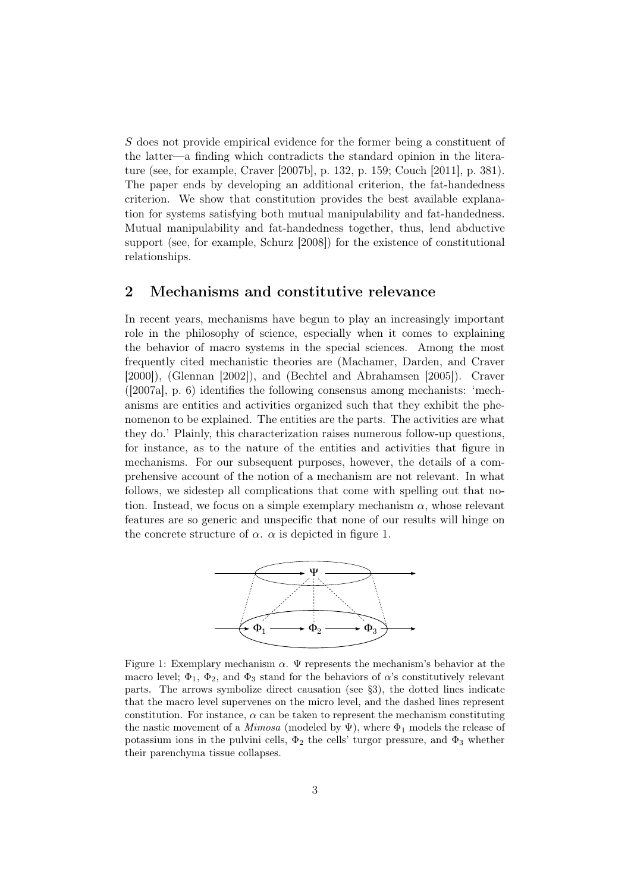S does not provide empirical evidence for the former being a constituent of the latter—a finding which contradicts the standard opinion in the literature (see, for example, Craver [2007b], p. 132, p. 159; Couch [2011], p. 381). The paper ends by developing an additional criterion, the fat-handedness criterion. We show that constitution provides the best available explanation for systems satisfying both mutual manipulability and fat-handedness. Mutual manipulability and fat-handedness together, thus, lend abductive support (see, for example, Schurz [2008]) for the existence of constitutional relationships.

### 2 Mechanisms and constitutive relevance

In recent years, mechanisms have begun to play an increasingly important role in the philosophy of science, especially when it comes to explaining the behavior of macro systems in the special sciences. Among the most frequently cited mechanistic theories are (Machamer, Darden, and Craver [2000]), (Glennan [2002]), and (Bechtel and Abrahamsen [2005]). Craver ([2007a], p. 6) identifies the following consensus among mechanists: 'mechanisms are entities and activities organized such that they exhibit the phenomenon to be explained. The entities are the parts. The activities are what they do.' Plainly, this characterization raises numerous follow-up questions, for instance, as to the nature of the entities and activities that figure in mechanisms. For our subsequent purposes, however, the details of a comprehensive account of the notion of a mechanism are not relevant. In what follows, we sidestep all complications that come with spelling out that notion. Instead, we focus on a simple exemplary mechanism  $\alpha$ , whose relevant features are so generic and unspecific that none of our results will hinge on the concrete structure of  $\alpha$ .  $\alpha$  is depicted in figure 1.



Figure 1: Exemplary mechanism  $\alpha$ .  $\Psi$  represents the mechanism's behavior at the macro level;  $\Phi_1$ ,  $\Phi_2$ , and  $\Phi_3$  stand for the behaviors of  $\alpha$ 's constitutively relevant parts. The arrows symbolize direct causation (see §3), the dotted lines indicate that the macro level supervenes on the micro level, and the dashed lines represent constitution. For instance,  $\alpha$  can be taken to represent the mechanism constituting the nastic movement of a  $Mimosa$  (modeled by  $\Psi$ ), where  $\Phi_1$  models the release of potassium ions in the pulvini cells,  $\Phi_2$  the cells' turgor pressure, and  $\Phi_3$  whether their parenchyma tissue collapses.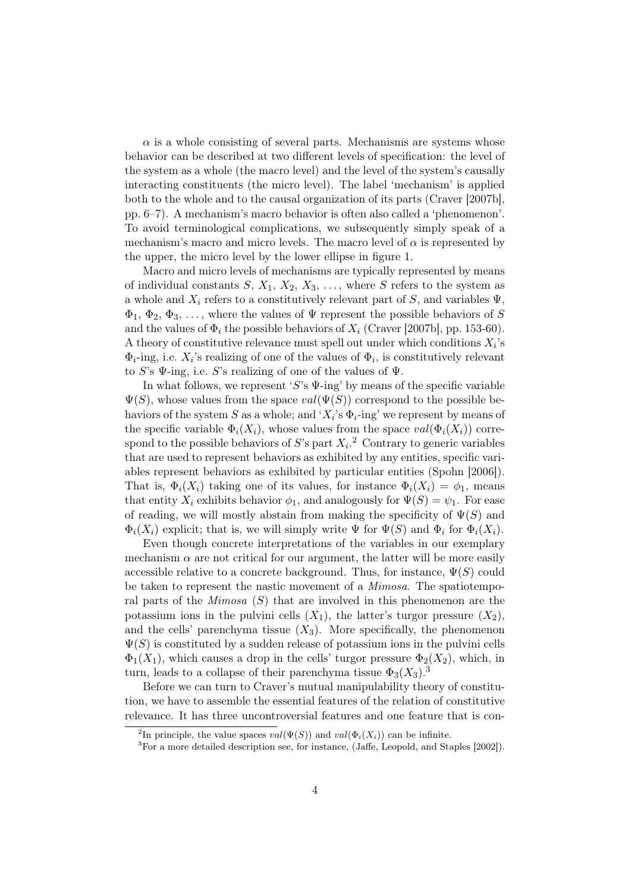$\alpha$  is a whole consisting of several parts. Mechanisms are systems whose behavior can be described at two different levels of specification: the level of the system as a whole (the macro level) and the level of the system's causally interacting constituents (the micro level). The label 'mechanism' is applied both to the whole and to the causal organization of its parts (Craver [2007b], pp. 6–7). A mechanism's macro behavior is often also called a 'phenomenon'. To avoid terminological complications, we subsequently simply speak of a mechanism's macro and micro levels. The macro level of  $\alpha$  is represented by the upper, the micro level by the lower ellipse in figure 1.

Macro and micro levels of mechanisms are typically represented by means of individual constants  $S, X_1, X_2, X_3, \ldots$ , where S refers to the system as a whole and  $X_i$  refers to a constitutively relevant part of S, and variables  $\Psi$ ,  $\Phi_1, \Phi_2, \Phi_3, \ldots$ , where the values of  $\Psi$  represent the possible behaviors of S and the values of  $\Phi_i$  the possible behaviors of  $X_i$  (Craver [2007b], pp. 153-60). A theory of constitutive relevance must spell out under which conditions  $X_i$ 's  $\Phi_i$ -ing, i.e.  $X_i$ 's realizing of one of the values of  $\Phi_i$ , is constitutively relevant to S's  $\Psi$ -ing, i.e. S's realizing of one of the values of  $\Psi$ .

In what follows, we represent 'S's  $\Psi$ -ing' by means of the specific variable  $\Psi(S)$ , whose values from the space  $val(\Psi(S))$  correspond to the possible behaviors of the system S as a whole; and ' $X_i$ 's  $\Phi_i$ -ing' we represent by means of the specific variable  $\Phi_i(X_i)$ , whose values from the space  $val(\Phi_i(X_i))$  correspond to the possible behaviors of S's part  $X_i$ <sup>2</sup> Contrary to generic variables that are used to represent behaviors as exhibited by any entities, specific variables represent behaviors as exhibited by particular entities (Spohn [2006]). That is,  $\Phi_i(X_i)$  taking one of its values, for instance  $\Phi_i(X_i) = \phi_1$ , means that entity  $X_i$  exhibits behavior  $\phi_1$ , and analogously for  $\Psi(S) = \psi_1$ . For ease of reading, we will mostly abstain from making the specificity of  $\Psi(S)$  and  $\Phi_i(X_i)$  explicit; that is, we will simply write  $\Psi$  for  $\Psi(S)$  and  $\Phi_i$  for  $\Phi_i(X_i)$ .

Even though concrete interpretations of the variables in our exemplary mechanism  $\alpha$  are not critical for our argument, the latter will be more easily accessible relative to a concrete background. Thus, for instance,  $\Psi(S)$  could be taken to represent the nastic movement of a Mimosa. The spatiotemporal parts of the  $Mimosa$  (S) that are involved in this phenomenon are the potassium ions in the pulvini cells  $(X_1)$ , the latter's turgor pressure  $(X_2)$ , and the cells' parenchyma tissue  $(X_3)$ . More specifically, the phenomenon  $\Psi(S)$  is constituted by a sudden release of potassium ions in the pulvini cells  $\Phi_1(X_1)$ , which causes a drop in the cells' turgor pressure  $\Phi_2(X_2)$ , which, in turn, leads to a collapse of their parenchyma tissue  $\Phi_3(X_3)$ .<sup>3</sup>

Before we can turn to Craver's mutual manipulability theory of constitution, we have to assemble the essential features of the relation of constitutive relevance. It has three uncontroversial features and one feature that is con-

<sup>&</sup>lt;sup>2</sup>In principle, the value spaces  $val(\Psi(S))$  and  $val(\Phi_i(X_i))$  can be infinite.

 ${}^{3}$ For a more detailed description see, for instance, (Jaffe, Leopold, and Staples [2002]).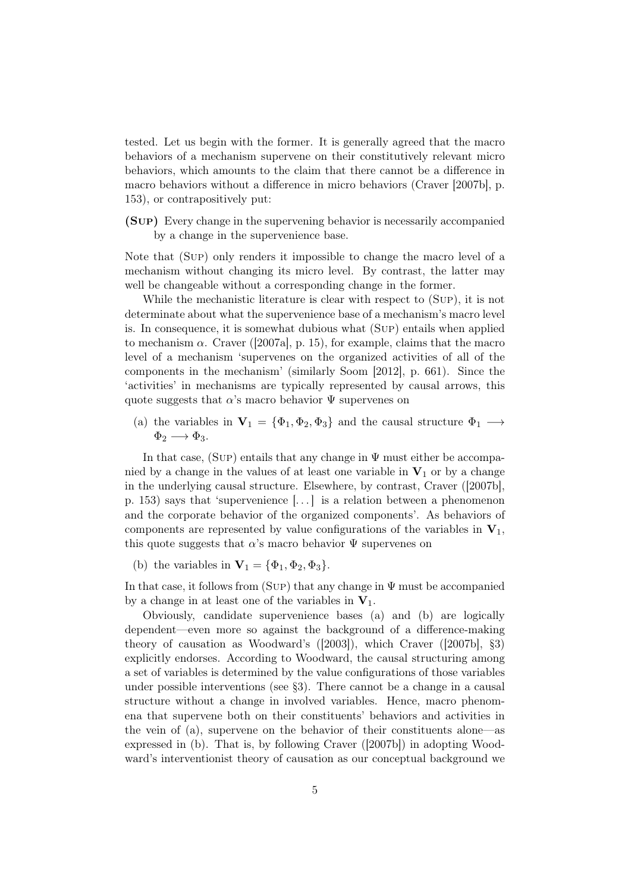tested. Let us begin with the former. It is generally agreed that the macro behaviors of a mechanism supervene on their constitutively relevant micro behaviors, which amounts to the claim that there cannot be a difference in macro behaviors without a difference in micro behaviors (Craver [2007b], p. 153), or contrapositively put:

(Sup) Every change in the supervening behavior is necessarily accompanied by a change in the supervenience base.

Note that (Sup) only renders it impossible to change the macro level of a mechanism without changing its micro level. By contrast, the latter may well be changeable without a corresponding change in the former.

While the mechanistic literature is clear with respect to (Sup), it is not determinate about what the supervenience base of a mechanism's macro level is. In consequence, it is somewhat dubious what (Sup) entails when applied to mechanism  $\alpha$ . Craver ([2007a], p. 15), for example, claims that the macro level of a mechanism 'supervenes on the organized activities of all of the components in the mechanism' (similarly Soom [2012], p. 661). Since the 'activities' in mechanisms are typically represented by causal arrows, this quote suggests that  $\alpha$ 's macro behavior  $\Psi$  supervenes on

(a) the variables in  $V_1 = {\Phi_1, \Phi_2, \Phi_3}$  and the causal structure  $\Phi_1 \longrightarrow$  $\Phi_2 \longrightarrow \Phi_3$ .

In that case, (Sup) entails that any change in  $\Psi$  must either be accompanied by a change in the values of at least one variable in  $V_1$  or by a change in the underlying causal structure. Elsewhere, by contrast, Craver ([2007b], p. 153) says that 'supervenience [. . . ] is a relation between a phenomenon and the corporate behavior of the organized components'. As behaviors of components are represented by value configurations of the variables in  $V_1$ , this quote suggests that  $\alpha$ 's macro behavior  $\Psi$  supervenes on

(b) the variables in  $\mathbf{V}_1 = {\Phi_1, \Phi_2, \Phi_3}.$ 

In that case, it follows from (Sup) that any change in  $\Psi$  must be accompanied by a change in at least one of the variables in  $V_1$ .

Obviously, candidate supervenience bases (a) and (b) are logically dependent—even more so against the background of a difference-making theory of causation as Woodward's ([2003]), which Craver ([2007b], §3) explicitly endorses. According to Woodward, the causal structuring among a set of variables is determined by the value configurations of those variables under possible interventions (see §3). There cannot be a change in a causal structure without a change in involved variables. Hence, macro phenomena that supervene both on their constituents' behaviors and activities in the vein of (a), supervene on the behavior of their constituents alone—as expressed in (b). That is, by following Craver ([2007b]) in adopting Woodward's interventionist theory of causation as our conceptual background we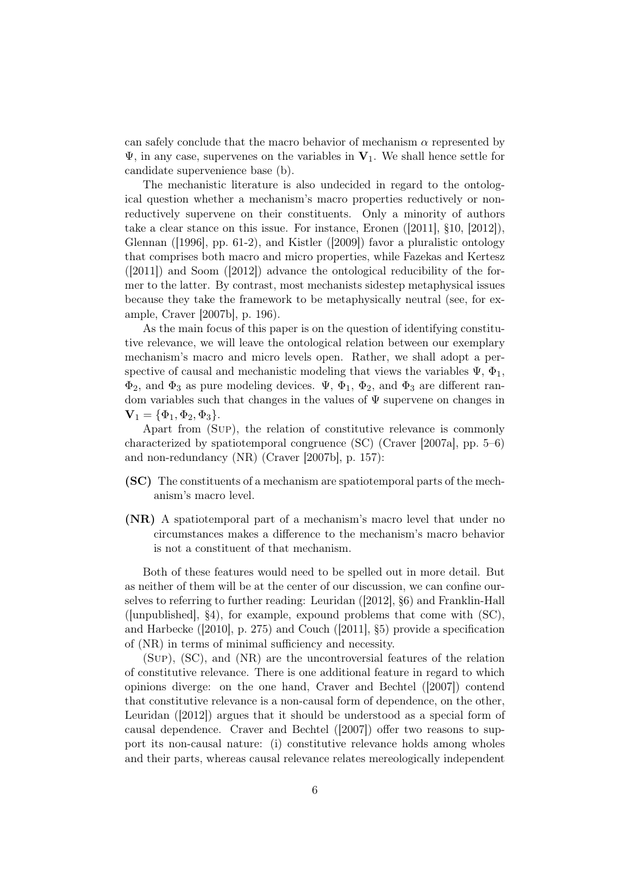can safely conclude that the macro behavior of mechanism  $\alpha$  represented by  $\Psi$ , in any case, supervenes on the variables in  $V_1$ . We shall hence settle for candidate supervenience base (b).

The mechanistic literature is also undecided in regard to the ontological question whether a mechanism's macro properties reductively or nonreductively supervene on their constituents. Only a minority of authors take a clear stance on this issue. For instance, Eronen ([2011], §10, [2012]), Glennan ([1996], pp. 61-2), and Kistler ([2009]) favor a pluralistic ontology that comprises both macro and micro properties, while Fazekas and Kertesz ([2011]) and Soom ([2012]) advance the ontological reducibility of the former to the latter. By contrast, most mechanists sidestep metaphysical issues because they take the framework to be metaphysically neutral (see, for example, Craver [2007b], p. 196).

As the main focus of this paper is on the question of identifying constitutive relevance, we will leave the ontological relation between our exemplary mechanism's macro and micro levels open. Rather, we shall adopt a perspective of causal and mechanistic modeling that views the variables  $\Psi$ ,  $\Phi_1$ ,  $\Phi_2$ , and  $\Phi_3$  as pure modeling devices.  $\Psi$ ,  $\Phi_1$ ,  $\Phi_2$ , and  $\Phi_3$  are different random variables such that changes in the values of  $\Psi$  supervene on changes in  $V_1 = {\Phi_1, \Phi_2, \Phi_3}.$ 

Apart from (Sup), the relation of constitutive relevance is commonly characterized by spatiotemporal congruence (SC) (Craver [2007a], pp. 5–6) and non-redundancy (NR) (Craver [2007b], p. 157):

- (SC) The constituents of a mechanism are spatiotemporal parts of the mechanism's macro level.
- (NR) A spatiotemporal part of a mechanism's macro level that under no circumstances makes a difference to the mechanism's macro behavior is not a constituent of that mechanism.

Both of these features would need to be spelled out in more detail. But as neither of them will be at the center of our discussion, we can confine ourselves to referring to further reading: Leuridan ([2012], §6) and Franklin-Hall ([unpublished], §4), for example, expound problems that come with (SC), and Harbecke ([2010], p. 275) and Couch ([2011], §5) provide a specification of (NR) in terms of minimal sufficiency and necessity.

(Sup), (SC), and (NR) are the uncontroversial features of the relation of constitutive relevance. There is one additional feature in regard to which opinions diverge: on the one hand, Craver and Bechtel ([2007]) contend that constitutive relevance is a non-causal form of dependence, on the other, Leuridan ([2012]) argues that it should be understood as a special form of causal dependence. Craver and Bechtel ([2007]) offer two reasons to support its non-causal nature: (i) constitutive relevance holds among wholes and their parts, whereas causal relevance relates mereologically independent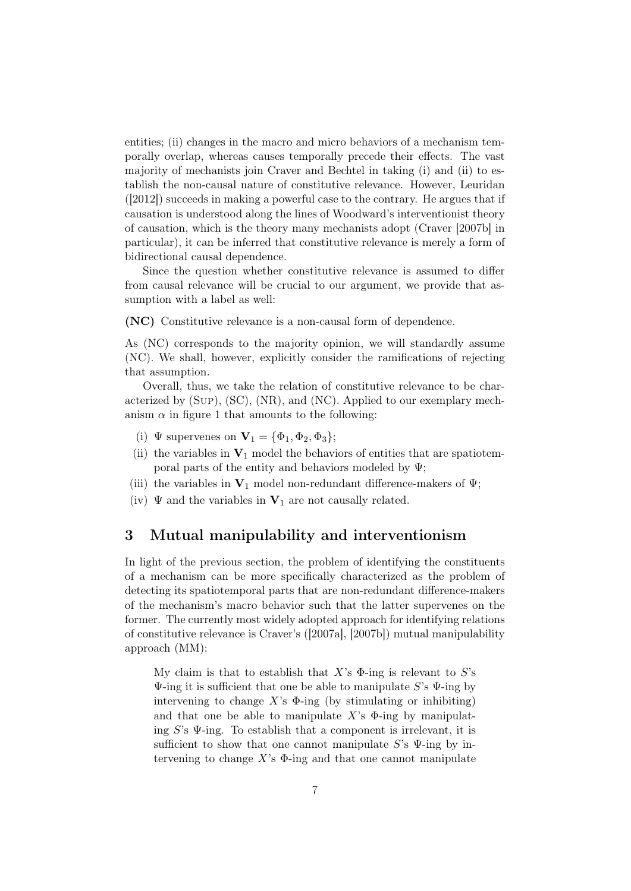entities; (ii) changes in the macro and micro behaviors of a mechanism temporally overlap, whereas causes temporally precede their effects. The vast majority of mechanists join Craver and Bechtel in taking (i) and (ii) to establish the non-causal nature of constitutive relevance. However, Leuridan ([2012]) succeeds in making a powerful case to the contrary. He argues that if causation is understood along the lines of Woodward's interventionist theory of causation, which is the theory many mechanists adopt (Craver [2007b] in particular), it can be inferred that constitutive relevance is merely a form of bidirectional causal dependence.

Since the question whether constitutive relevance is assumed to differ from causal relevance will be crucial to our argument, we provide that assumption with a label as well:

(NC) Constitutive relevance is a non-causal form of dependence.

As (NC) corresponds to the majority opinion, we will standardly assume (NC). We shall, however, explicitly consider the ramifications of rejecting that assumption.

Overall, thus, we take the relation of constitutive relevance to be characterized by (Sup), (SC), (NR), and (NC). Applied to our exemplary mechanism  $\alpha$  in figure 1 that amounts to the following:

- (i)  $\Psi$  supervenes on  $\mathbf{V}_1 = {\Phi_1, \Phi_2, \Phi_3};$
- (ii) the variables in  $V_1$  model the behaviors of entities that are spatiotemporal parts of the entity and behaviors modeled by  $\Psi$ ;
- (iii) the variables in  $V_1$  model non-redundant difference-makers of  $\Psi$ ;
- (iv)  $\Psi$  and the variables in  $V_1$  are not causally related.

## 3 Mutual manipulability and interventionism

In light of the previous section, the problem of identifying the constituents of a mechanism can be more specifically characterized as the problem of detecting its spatiotemporal parts that are non-redundant difference-makers of the mechanism's macro behavior such that the latter supervenes on the former. The currently most widely adopted approach for identifying relations of constitutive relevance is Craver's ([2007a], [2007b]) mutual manipulability approach (MM):

My claim is that to establish that X's  $\Phi$ -ing is relevant to S's  $\Psi$ -ing it is sufficient that one be able to manipulate S's  $\Psi$ -ing by intervening to change  $X$ 's  $\Phi$ -ing (by stimulating or inhibiting) and that one be able to manipulate  $X$ 's  $\Phi$ -ing by manipulating  $S$ 's  $\Psi$ -ing. To establish that a component is irrelevant, it is sufficient to show that one cannot manipulate  $S$ 's  $\Psi$ -ing by intervening to change  $X$ 's  $\Phi$ -ing and that one cannot manipulate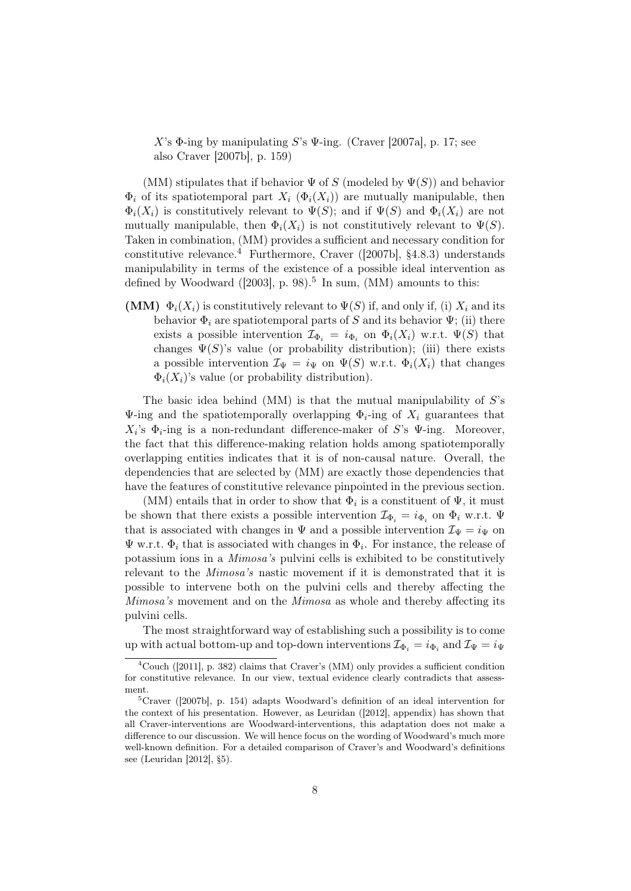X's Φ-ing by manipulating S's Ψ-ing. (Craver [2007a], p. 17; see also Craver [2007b], p. 159)

(MM) stipulates that if behavior  $\Psi$  of S (modeled by  $\Psi(S)$ ) and behavior  $\Phi_i$  of its spatiotemporal part  $X_i$  ( $\Phi_i(X_i)$ ) are mutually manipulable, then  $\Phi_i(X_i)$  is constitutively relevant to  $\Psi(S)$ ; and if  $\Psi(S)$  and  $\Phi_i(X_i)$  are not mutually manipulable, then  $\Phi_i(X_i)$  is not constitutively relevant to  $\Psi(S)$ . Taken in combination, (MM) provides a sufficient and necessary condition for constitutive relevance.<sup>4</sup> Furthermore, Craver ([2007b], §4.8.3) understands manipulability in terms of the existence of a possible ideal intervention as defined by Woodward  $(2003, p. 98)$ .<sup>5</sup> In sum,  $(MM)$  amounts to this:

(MM)  $\Phi_i(X_i)$  is constitutively relevant to  $\Psi(S)$  if, and only if, (i)  $X_i$  and its behavior  $\Phi_i$  are spatiotemporal parts of S and its behavior  $\Psi$ ; (ii) there exists a possible intervention  $\mathcal{I}_{\Phi_i} = i_{\Phi_i}$  on  $\Phi_i(X_i)$  w.r.t.  $\Psi(S)$  that changes  $\Psi(S)$ 's value (or probability distribution); (iii) there exists a possible intervention  $\mathcal{I}_{\Psi} = i_{\Psi}$  on  $\Psi(S)$  w.r.t.  $\Phi_i(X_i)$  that changes  $\Phi_i(X_i)$ 's value (or probability distribution).

The basic idea behind (MM) is that the mutual manipulability of  $S$ 's  $\Psi$ -ing and the spatiotemporally overlapping  $\Phi_i$ -ing of  $X_i$  guarantees that  $X_i$ 's  $\Phi_i$ -ing is a non-redundant difference-maker of S's  $\Psi$ -ing. Moreover, the fact that this difference-making relation holds among spatiotemporally overlapping entities indicates that it is of non-causal nature. Overall, the dependencies that are selected by (MM) are exactly those dependencies that have the features of constitutive relevance pinpointed in the previous section.

(MM) entails that in order to show that  $\Phi_i$  is a constituent of  $\Psi$ , it must be shown that there exists a possible intervention  $\mathcal{I}_{\Phi_i} = i_{\Phi_i}$  on  $\Phi_i$  w.r.t.  $\Psi$ that is associated with changes in  $\Psi$  and a possible intervention  $\mathcal{I}_{\Psi} = i_{\Psi}$  on  $\Psi$  w.r.t.  $\Phi_i$  that is associated with changes in  $\Phi_i$ . For instance, the release of potassium ions in a Mimosa's pulvini cells is exhibited to be constitutively relevant to the Mimosa's nastic movement if it is demonstrated that it is possible to intervene both on the pulvini cells and thereby affecting the Mimosa's movement and on the Mimosa as whole and thereby affecting its pulvini cells.

The most straightforward way of establishing such a possibility is to come up with actual bottom-up and top-down interventions  $\mathcal{I}_{\Phi_i} = i_{\Phi_i}$  and  $\mathcal{I}_{\Psi} = i_{\Psi}$ 

<sup>&</sup>lt;sup>4</sup>Couch ([2011], p. 382) claims that Craver's (MM) only provides a sufficient condition for constitutive relevance. In our view, textual evidence clearly contradicts that assessment.

 $5Craver$  ([2007b], p. 154) adapts Woodward's definition of an ideal intervention for the context of his presentation. However, as Leuridan ([2012], appendix) has shown that all Craver-interventions are Woodward-interventions, this adaptation does not make a difference to our discussion. We will hence focus on the wording of Woodward's much more well-known definition. For a detailed comparison of Craver's and Woodward's definitions see (Leuridan [2012], §5).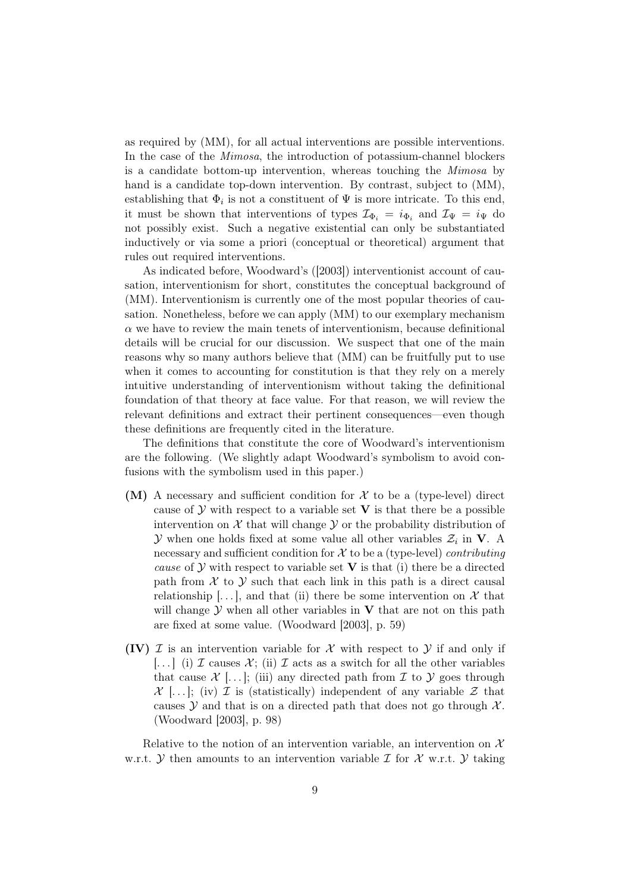as required by (MM), for all actual interventions are possible interventions. In the case of the Mimosa, the introduction of potassium-channel blockers is a candidate bottom-up intervention, whereas touching the Mimosa by hand is a candidate top-down intervention. By contrast, subject to (MM), establishing that  $\Phi_i$  is not a constituent of  $\Psi$  is more intricate. To this end, it must be shown that interventions of types  $\mathcal{I}_{\Phi_i} = i_{\Phi_i}$  and  $\mathcal{I}_{\Psi} = i_{\Psi}$  do not possibly exist. Such a negative existential can only be substantiated inductively or via some a priori (conceptual or theoretical) argument that rules out required interventions.

As indicated before, Woodward's ([2003]) interventionist account of causation, interventionism for short, constitutes the conceptual background of (MM). Interventionism is currently one of the most popular theories of causation. Nonetheless, before we can apply (MM) to our exemplary mechanism  $\alpha$  we have to review the main tenets of interventionism, because definitional details will be crucial for our discussion. We suspect that one of the main reasons why so many authors believe that (MM) can be fruitfully put to use when it comes to accounting for constitution is that they rely on a merely intuitive understanding of interventionism without taking the definitional foundation of that theory at face value. For that reason, we will review the relevant definitions and extract their pertinent consequences—even though these definitions are frequently cited in the literature.

The definitions that constitute the core of Woodward's interventionism are the following. (We slightly adapt Woodward's symbolism to avoid confusions with the symbolism used in this paper.)

- (M) A necessary and sufficient condition for  $\mathcal X$  to be a (type-level) direct cause of  $Y$  with respect to a variable set V is that there be a possible intervention on  $\mathcal X$  that will change  $\mathcal Y$  or the probability distribution of  $\mathcal Y$  when one holds fixed at some value all other variables  $\mathcal Z_i$  in **V**. A necessary and sufficient condition for  $\mathcal X$  to be a (type-level) *contributing* cause of  $Y$  with respect to variable set V is that (i) there be a directed path from  $X$  to  $Y$  such that each link in this path is a direct causal relationship [...], and that (ii) there be some intervention on  $\mathcal X$  that will change  $Y$  when all other variables in  $V$  that are not on this path are fixed at some value. (Woodward [2003], p. 59)
- **(IV)**  $\mathcal I$  is an intervention variable for  $\mathcal X$  with respect to  $\mathcal Y$  if and only if [...] (i) I causes  $\mathcal{X}$ ; (ii) I acts as a switch for all the other variables that cause  $\mathcal{X}$  [...]; (iii) any directed path from  $\mathcal{I}$  to  $\mathcal{Y}$  goes through  $\mathcal{X}$  [...]; (iv)  $\mathcal{I}$  is (statistically) independent of any variable  $\mathcal{Z}$  that causes Y and that is on a directed path that does not go through  $\mathcal{X}$ . (Woodward [2003], p. 98)

Relative to the notion of an intervention variable, an intervention on  $\mathcal{X}$ w.r.t. Y then amounts to an intervention variable  $\mathcal I$  for  $\mathcal X$  w.r.t. Y taking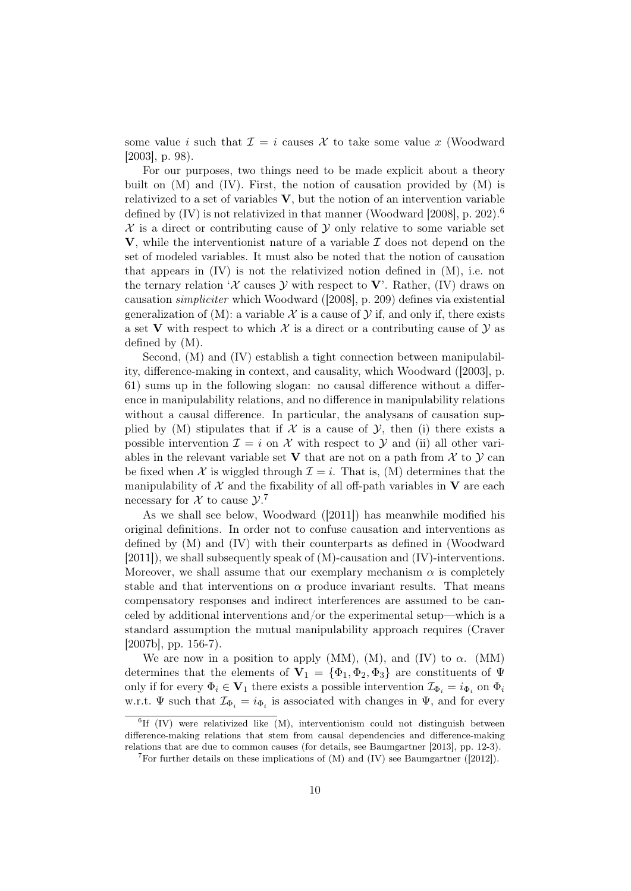some value i such that  $\mathcal{I} = i$  causes X to take some value x (Woodward [2003], p. 98).

For our purposes, two things need to be made explicit about a theory built on (M) and (IV). First, the notion of causation provided by (M) is relativized to a set of variables  $V$ , but the notion of an intervention variable defined by (IV) is not relativized in that manner (Woodward [2008], p. 202).<sup>6</sup>  $\mathcal X$  is a direct or contributing cause of  $\mathcal Y$  only relative to some variable set V, while the interventionist nature of a variable  $\mathcal I$  does not depend on the set of modeled variables. It must also be noted that the notion of causation that appears in (IV) is not the relativized notion defined in (M), i.e. not the ternary relation 'X causes Y with respect to V'. Rather, (IV) draws on causation simpliciter which Woodward ([2008], p. 209) defines via existential generalization of (M): a variable  $\mathcal X$  is a cause of  $\mathcal Y$  if, and only if, there exists a set V with respect to which  $\mathcal X$  is a direct or a contributing cause of  $\mathcal Y$  as defined by (M).

Second, (M) and (IV) establish a tight connection between manipulability, difference-making in context, and causality, which Woodward ([2003], p. 61) sums up in the following slogan: no causal difference without a difference in manipulability relations, and no difference in manipulability relations without a causal difference. In particular, the analysans of causation supplied by (M) stipulates that if  $\mathcal X$  is a cause of  $\mathcal Y$ , then (i) there exists a possible intervention  $\mathcal{I} = i$  on  $\mathcal{X}$  with respect to  $\mathcal{Y}$  and (ii) all other variables in the relevant variable set **V** that are not on a path from  $\mathcal{X}$  to  $\mathcal{Y}$  can be fixed when X is wiggled through  $\mathcal{I} = i$ . That is, (M) determines that the manipulability of  $\mathcal X$  and the fixability of all off-path variables in  $V$  are each necessary for  $\mathcal X$  to cause  $\mathcal Y$ .<sup>7</sup>

As we shall see below, Woodward ([2011]) has meanwhile modified his original definitions. In order not to confuse causation and interventions as defined by (M) and (IV) with their counterparts as defined in (Woodward [2011]), we shall subsequently speak of (M)-causation and (IV)-interventions. Moreover, we shall assume that our exemplary mechanism  $\alpha$  is completely stable and that interventions on  $\alpha$  produce invariant results. That means compensatory responses and indirect interferences are assumed to be canceled by additional interventions and/or the experimental setup—which is a standard assumption the mutual manipulability approach requires (Craver [2007b], pp. 156-7).

We are now in a position to apply  $(MM)$ ,  $(M)$ , and  $(IV)$  to  $\alpha$ .  $(MM)$ determines that the elements of  $V_1 = {\Phi_1, \Phi_2, \Phi_3}$  are constituents of  $\Psi$ only if for every  $\Phi_i \in V_1$  there exists a possible intervention  $\mathcal{I}_{\Phi_i} = i_{\Phi_i}$  on  $\Phi_i$ w.r.t.  $\Psi$  such that  $\mathcal{I}_{\Phi_i} = i_{\Phi_i}$  is associated with changes in  $\Psi$ , and for every

<sup>&</sup>lt;sup>6</sup>If (IV) were relativized like (M), interventionism could not distinguish between difference-making relations that stem from causal dependencies and difference-making relations that are due to common causes (for details, see Baumgartner [2013], pp. 12-3).

<sup>&</sup>lt;sup>7</sup>For further details on these implications of  $(M)$  and  $(IV)$  see Baumgartner ([2012]).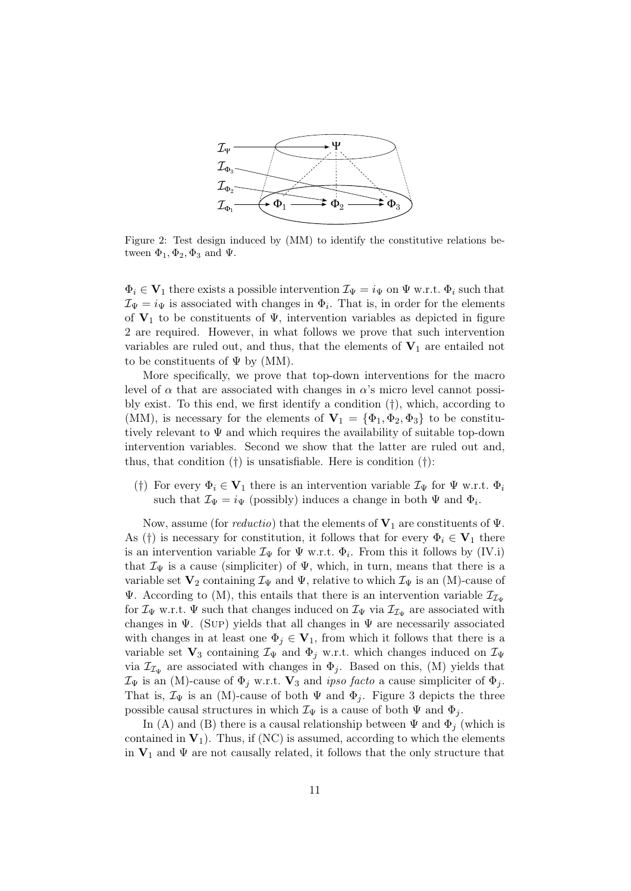

Figure 2: Test design induced by (MM) to identify the constitutive relations between  $\Phi_1, \Phi_2, \Phi_3$  and  $\Psi$ .

 $\Phi_i \in V_1$  there exists a possible intervention  $\mathcal{I}_{\Psi} = i_{\Psi}$  on  $\Psi$  w.r.t.  $\Phi_i$  such that  $\mathcal{I}_{\Psi} = i_{\Psi}$  is associated with changes in  $\Phi_i$ . That is, in order for the elements of  $V_1$  to be constituents of  $\Psi$ , intervention variables as depicted in figure 2 are required. However, in what follows we prove that such intervention variables are ruled out, and thus, that the elements of  $V_1$  are entailed not to be constituents of  $\Psi$  by (MM).

More specifically, we prove that top-down interventions for the macro level of  $\alpha$  that are associated with changes in  $\alpha$ 's micro level cannot possibly exist. To this end, we first identify a condition (†), which, according to (MM), is necessary for the elements of  $\mathbf{V}_1 = {\Phi_1, \Phi_2, \Phi_3}$  to be constitutively relevant to  $\Psi$  and which requires the availability of suitable top-down intervention variables. Second we show that the latter are ruled out and, thus, that condition (†) is unsatisfiable. Here is condition (†):

(†) For every  $\Phi_i \in V_1$  there is an intervention variable  $\mathcal{I}_{\Psi}$  for  $\Psi$  w.r.t.  $\Phi_i$ such that  $\mathcal{I}_{\Psi} = i_{\Psi}$  (possibly) induces a change in both  $\Psi$  and  $\Phi_i$ .

Now, assume (for *reductio*) that the elements of  $V_1$  are constituents of  $\Psi$ . As (†) is necessary for constitution, it follows that for every  $\Phi_i \in V_1$  there is an intervention variable  $\mathcal{I}_{\Psi}$  for  $\Psi$  w.r.t.  $\Phi_i$ . From this it follows by (IV.i) that  $\mathcal{I}_{\Psi}$  is a cause (simpliciter) of  $\Psi$ , which, in turn, means that there is a variable set  $\mathbf{V}_2$  containing  $\mathcal{I}_{\Psi}$  and  $\Psi$ , relative to which  $\mathcal{I}_{\Psi}$  is an (M)-cause of Ψ. According to (M), this entails that there is an intervention variable  $\mathcal{I}_{\mathcal{I}_{\Psi}}$ for  $\mathcal{I}_{\Psi}$  w.r.t.  $\Psi$  such that changes induced on  $\mathcal{I}_{\Psi}$  via  $\mathcal{I}_{\mathcal{I}_{\Psi}}$  are associated with changes in  $\Psi$ . (Sup) yields that all changes in  $\Psi$  are necessarily associated with changes in at least one  $\Phi_j \in V_1$ , from which it follows that there is a variable set  $V_3$  containing  $\mathcal{I}_{\Psi}$  and  $\Phi_j$  w.r.t. which changes induced on  $\mathcal{I}_{\Psi}$ via  $\mathcal{I}_{\mathcal{I}_{\Psi}}$  are associated with changes in  $\Phi_j$ . Based on this, (M) yields that  $\mathcal{I}_{\Psi}$  is an (M)-cause of  $\Phi_j$  w.r.t.  $\mathbf{V}_3$  and ipso facto a cause simpliciter of  $\Phi_j$ . That is,  $\mathcal{I}_{\Psi}$  is an (M)-cause of both  $\Psi$  and  $\Phi_j$ . Figure 3 depicts the three possible causal structures in which  $\mathcal{I}_{\Psi}$  is a cause of both  $\Psi$  and  $\Phi_j$ .

In (A) and (B) there is a causal relationship between  $\Psi$  and  $\Phi_i$  (which is contained in  $V_1$ ). Thus, if (NC) is assumed, according to which the elements in  $V_1$  and  $\Psi$  are not causally related, it follows that the only structure that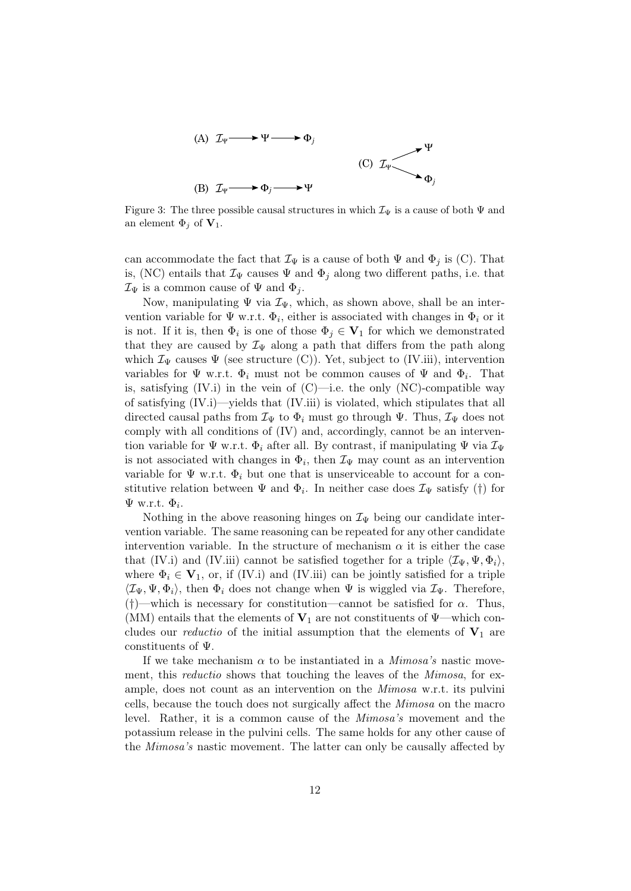

Figure 3: The three possible causal structures in which  $\mathcal{I}_{\Psi}$  is a cause of both  $\Psi$  and an element  $\Phi_j$  of  $V_1$ .

can accommodate the fact that  $\mathcal{I}_{\Psi}$  is a cause of both  $\Psi$  and  $\Phi_j$  is (C). That is, (NC) entails that  $\mathcal{I}_{\Psi}$  causes  $\Psi$  and  $\Phi_j$  along two different paths, i.e. that  $\mathcal{I}_{\Psi}$  is a common cause of  $\Psi$  and  $\Phi_i$ .

Now, manipulating  $\Psi$  via  $\mathcal{I}_{\Psi}$ , which, as shown above, shall be an intervention variable for  $\Psi$  w.r.t.  $\Phi_i$ , either is associated with changes in  $\Phi_i$  or it is not. If it is, then  $\Phi_i$  is one of those  $\Phi_j \in V_1$  for which we demonstrated that they are caused by  $\mathcal{I}_{\Psi}$  along a path that differs from the path along which  $\mathcal{I}_{\Psi}$  causes  $\Psi$  (see structure (C)). Yet, subject to (IV.iii), intervention variables for  $\Psi$  w.r.t.  $\Phi_i$  must not be common causes of  $\Psi$  and  $\Phi_i$ . That is, satisfying  $(IV. i)$  in the vein of  $(C)$ —i.e. the only  $(NC)$ -compatible way of satisfying (IV.i)—yields that (IV.iii) is violated, which stipulates that all directed causal paths from  $\mathcal{I}_{\Psi}$  to  $\Phi_i$  must go through  $\Psi$ . Thus,  $\mathcal{I}_{\Psi}$  does not comply with all conditions of (IV) and, accordingly, cannot be an intervention variable for  $\Psi$  w.r.t.  $\Phi_i$  after all. By contrast, if manipulating  $\Psi$  via  $\mathcal{I}_{\Psi}$ is not associated with changes in  $\Phi_i$ , then  $\mathcal{I}_{\Psi}$  may count as an intervention variable for  $\Psi$  w.r.t.  $\Phi_i$  but one that is unserviceable to account for a constitutive relation between  $\Psi$  and  $\Phi_i$ . In neither case does  $\mathcal{I}_{\Psi}$  satisfy (†) for  $\Psi$  w.r.t.  $\Phi_i$ .

Nothing in the above reasoning hinges on  $\mathcal{I}_{\Psi}$  being our candidate intervention variable. The same reasoning can be repeated for any other candidate intervention variable. In the structure of mechanism  $\alpha$  it is either the case that (IV.i) and (IV.iii) cannot be satisfied together for a triple  $\langle \mathcal{I}_{\Psi}, \Psi, \Phi_i \rangle$ , where  $\Phi_i \in V_1$ , or, if (IV.i) and (IV.iii) can be jointly satisfied for a triple  $\langle \mathcal{I}_{\Psi}, \Psi, \Phi_i \rangle$ , then  $\Phi_i$  does not change when  $\Psi$  is wiggled via  $\mathcal{I}_{\Psi}$ . Therefore, (†)—which is necessary for constitution—cannot be satisfied for  $\alpha$ . Thus, (MM) entails that the elements of  $V_1$  are not constituents of  $\Psi$ —which concludes our *reductio* of the initial assumption that the elements of  $V_1$  are constituents of Ψ.

If we take mechanism  $\alpha$  to be instantiated in a *Mimosa's* nastic movement, this reductio shows that touching the leaves of the Mimosa, for example, does not count as an intervention on the Mimosa w.r.t. its pulvini cells, because the touch does not surgically affect the Mimosa on the macro level. Rather, it is a common cause of the Mimosa's movement and the potassium release in the pulvini cells. The same holds for any other cause of the Mimosa's nastic movement. The latter can only be causally affected by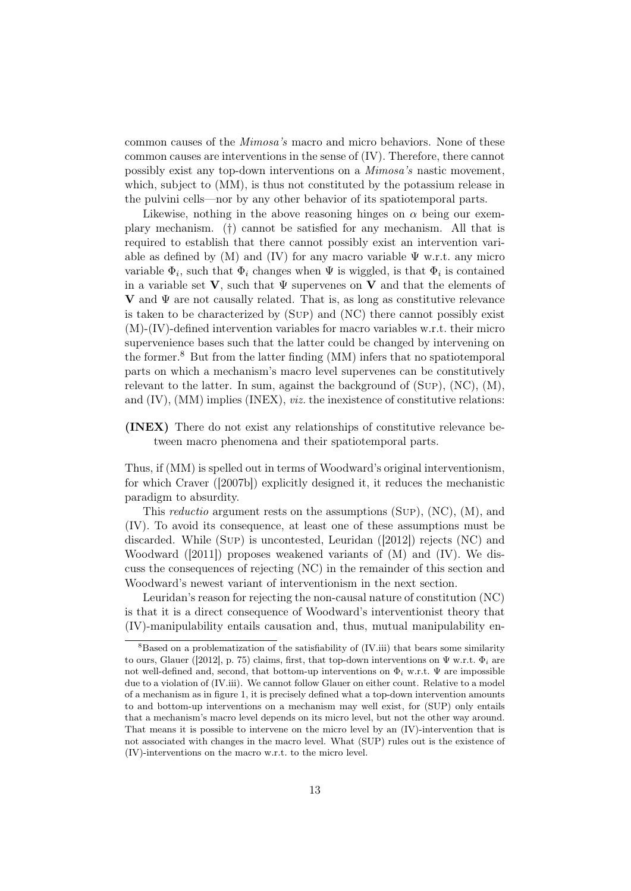common causes of the Mimosa's macro and micro behaviors. None of these common causes are interventions in the sense of (IV). Therefore, there cannot possibly exist any top-down interventions on a Mimosa's nastic movement, which, subject to (MM), is thus not constituted by the potassium release in the pulvini cells—nor by any other behavior of its spatiotemporal parts.

Likewise, nothing in the above reasoning hinges on  $\alpha$  being our exemplary mechanism. (†) cannot be satisfied for any mechanism. All that is required to establish that there cannot possibly exist an intervention variable as defined by (M) and (IV) for any macro variable  $\Psi$  w.r.t. any micro variable  $\Phi_i$ , such that  $\Phi_i$  changes when  $\Psi$  is wiggled, is that  $\Phi_i$  is contained in a variable set  $V$ , such that  $\Psi$  supervenes on  $V$  and that the elements of **V** and  $\Psi$  are not causally related. That is, as long as constitutive relevance is taken to be characterized by (Sup) and (NC) there cannot possibly exist (M)-(IV)-defined intervention variables for macro variables w.r.t. their micro supervenience bases such that the latter could be changed by intervening on the former.<sup>8</sup> But from the latter finding (MM) infers that no spatiotemporal parts on which a mechanism's macro level supervenes can be constitutively relevant to the latter. In sum, against the background of  $(SUP)$ ,  $(NC)$ ,  $(M)$ , and (IV), (MM) implies (INEX), viz. the inexistence of constitutive relations:

(INEX) There do not exist any relationships of constitutive relevance between macro phenomena and their spatiotemporal parts.

Thus, if (MM) is spelled out in terms of Woodward's original interventionism, for which Craver ([2007b]) explicitly designed it, it reduces the mechanistic paradigm to absurdity.

This reductio argument rests on the assumptions (Sup), (NC), (M), and (IV). To avoid its consequence, at least one of these assumptions must be discarded. While (Sup) is uncontested, Leuridan ([2012]) rejects (NC) and Woodward ([2011]) proposes weakened variants of (M) and (IV). We discuss the consequences of rejecting (NC) in the remainder of this section and Woodward's newest variant of interventionism in the next section.

Leuridan's reason for rejecting the non-causal nature of constitution (NC) is that it is a direct consequence of Woodward's interventionist theory that (IV)-manipulability entails causation and, thus, mutual manipulability en-

 $8B$ ased on a problematization of the satisfiability of (IV.iii) that bears some similarity to ours, Glauer ([2012], p. 75) claims, first, that top-down interventions on  $\Psi$  w.r.t.  $\Phi_i$  are not well-defined and, second, that bottom-up interventions on  $\Phi_i$  w.r.t.  $\Psi$  are impossible due to a violation of (IV.iii). We cannot follow Glauer on either count. Relative to a model of a mechanism as in figure 1, it is precisely defined what a top-down intervention amounts to and bottom-up interventions on a mechanism may well exist, for (SUP) only entails that a mechanism's macro level depends on its micro level, but not the other way around. That means it is possible to intervene on the micro level by an (IV)-intervention that is not associated with changes in the macro level. What (SUP) rules out is the existence of (IV)-interventions on the macro w.r.t. to the micro level.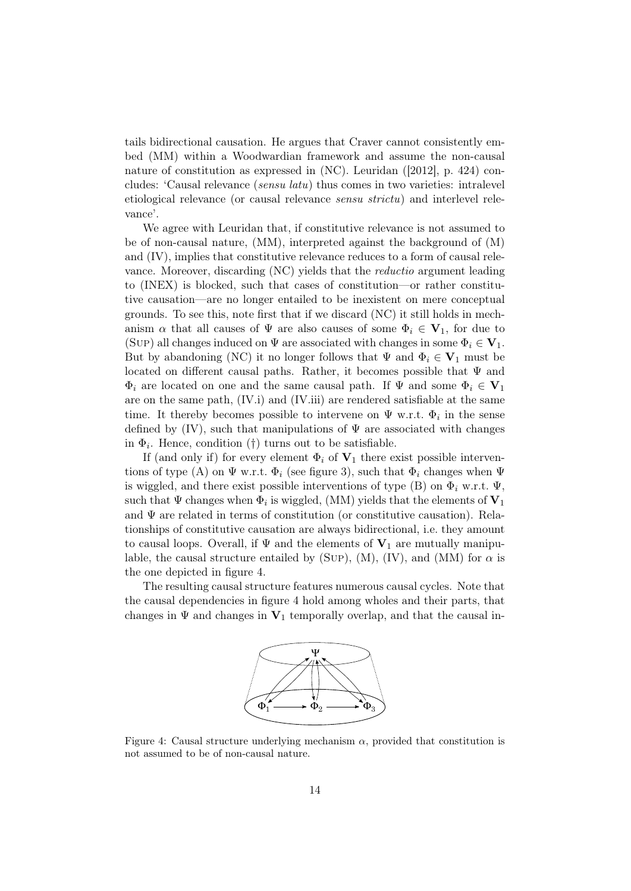tails bidirectional causation. He argues that Craver cannot consistently embed (MM) within a Woodwardian framework and assume the non-causal nature of constitution as expressed in (NC). Leuridan ([2012], p. 424) concludes: 'Causal relevance (sensu latu) thus comes in two varieties: intralevel etiological relevance (or causal relevance sensu strictu) and interlevel relevance'.

We agree with Leuridan that, if constitutive relevance is not assumed to be of non-causal nature, (MM), interpreted against the background of (M) and (IV), implies that constitutive relevance reduces to a form of causal relevance. Moreover, discarding (NC) yields that the reductio argument leading to (INEX) is blocked, such that cases of constitution—or rather constitutive causation—are no longer entailed to be inexistent on mere conceptual grounds. To see this, note first that if we discard (NC) it still holds in mechanism  $\alpha$  that all causes of  $\Psi$  are also causes of some  $\Phi_i \in V_1$ , for due to (SUP) all changes induced on  $\Psi$  are associated with changes in some  $\Phi_i \in V_1$ . But by abandoning (NC) it no longer follows that  $\Psi$  and  $\Phi_i \in V_1$  must be located on different causal paths. Rather, it becomes possible that  $\Psi$  and  $\Phi_i$  are located on one and the same causal path. If  $\Psi$  and some  $\Phi_i \in V_1$ are on the same path, (IV.i) and (IV.iii) are rendered satisfiable at the same time. It thereby becomes possible to intervene on  $\Psi$  w.r.t.  $\Phi_i$  in the sense defined by (IV), such that manipulations of  $\Psi$  are associated with changes in  $\Phi_i$ . Hence, condition (†) turns out to be satisfiable.

If (and only if) for every element  $\Phi_i$  of  $V_1$  there exist possible interventions of type (A) on  $\Psi$  w.r.t.  $\Phi_i$  (see figure 3), such that  $\Phi_i$  changes when  $\Psi$ is wiggled, and there exist possible interventions of type (B) on  $\Phi_i$  w.r.t.  $\Psi$ , such that  $\Psi$  changes when  $\Phi_i$  is wiggled, (MM) yields that the elements of  $\mathbf{V}_1$ and  $\Psi$  are related in terms of constitution (or constitutive causation). Relationships of constitutive causation are always bidirectional, i.e. they amount to causal loops. Overall, if  $\Psi$  and the elements of  $V_1$  are mutually manipulable, the causal structure entailed by (SUP), (M), (IV), and (MM) for  $\alpha$  is the one depicted in figure 4.

The resulting causal structure features numerous causal cycles. Note that the causal dependencies in figure 4 hold among wholes and their parts, that changes in  $\Psi$  and changes in  $V_1$  temporally overlap, and that the causal in-



Figure 4: Causal structure underlying mechanism  $\alpha$ , provided that constitution is not assumed to be of non-causal nature.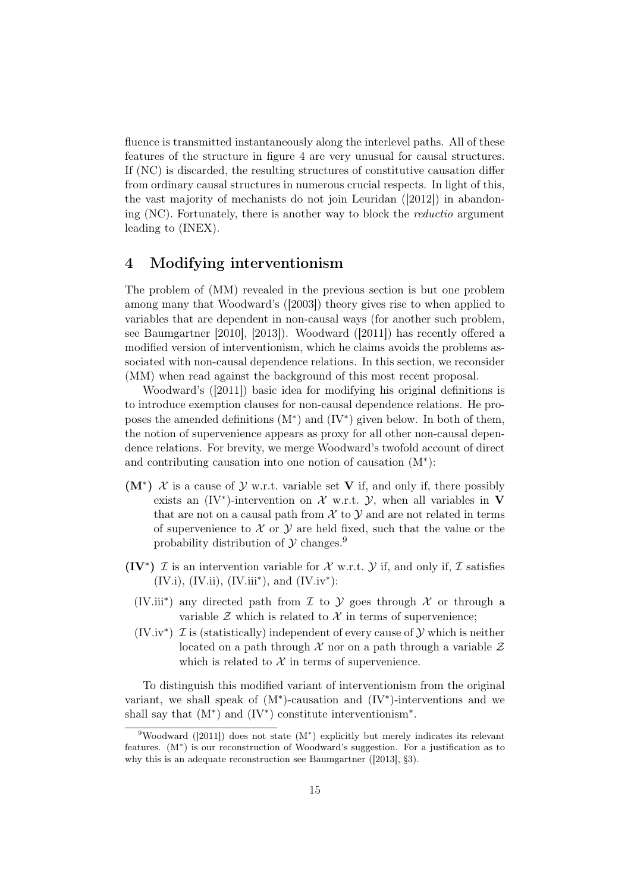fluence is transmitted instantaneously along the interlevel paths. All of these features of the structure in figure 4 are very unusual for causal structures. If (NC) is discarded, the resulting structures of constitutive causation differ from ordinary causal structures in numerous crucial respects. In light of this, the vast majority of mechanists do not join Leuridan ([2012]) in abandoning (NC). Fortunately, there is another way to block the reductio argument leading to (INEX).

### 4 Modifying interventionism

The problem of (MM) revealed in the previous section is but one problem among many that Woodward's ([2003]) theory gives rise to when applied to variables that are dependent in non-causal ways (for another such problem, see Baumgartner [2010], [2013]). Woodward ([2011]) has recently offered a modified version of interventionism, which he claims avoids the problems associated with non-causal dependence relations. In this section, we reconsider (MM) when read against the background of this most recent proposal.

Woodward's ([2011]) basic idea for modifying his original definitions is to introduce exemption clauses for non-causal dependence relations. He proposes the amended definitions  $(M^*)$  and  $(IV^*)$  given below. In both of them, the notion of supervenience appears as proxy for all other non-causal dependence relations. For brevity, we merge Woodward's twofold account of direct and contributing causation into one notion of causation (M<sup>∗</sup> ):

- (M<sup>\*</sup>)  $\mathcal X$  is a cause of  $\mathcal Y$  w.r.t. variable set V if, and only if, there possibly exists an (IV<sup>\*</sup>)-intervention on  $\mathcal X$  w.r.t.  $\mathcal Y$ , when all variables in V that are not on a causal path from  $\mathcal X$  to  $\mathcal Y$  and are not related in terms of supervenience to  $\mathcal X$  or  $\mathcal Y$  are held fixed, such that the value or the probability distribution of  $\mathcal Y$  changes.<sup>9</sup>
- (IV<sup>\*</sup>)  $\mathcal I$  is an intervention variable for  $\mathcal X$  w.r.t.  $\mathcal Y$  if, and only if,  $\mathcal I$  satisfies  $(IV.i), (IV.ii), (IV.iii^*), and (IV.iv^*)$ :
	- (IV.iii<sup>\*</sup>) any directed path from  $\mathcal I$  to  $\mathcal Y$  goes through  $\mathcal X$  or through a variable  $Z$  which is related to  $X$  in terms of supervenience;
	- (IV.iv<sup>\*</sup>)  $\mathcal I$  is (statistically) independent of every cause of  $\mathcal Y$  which is neither located on a path through  $\mathcal X$  nor on a path through a variable  $\mathcal Z$ which is related to  $X$  in terms of supervenience.

To distinguish this modified variant of interventionism from the original variant, we shall speak of  $(M^*)$ -causation and  $(IV^*)$ -interventions and we shall say that  $(M^*)$  and  $(IV^*)$  constitute interventionism<sup>\*</sup>.

<sup>&</sup>lt;sup>9</sup>Woodward ([2011]) does not state (M<sup>\*</sup>) explicitly but merely indicates its relevant features. (M<sup>\*</sup>) is our reconstruction of Woodward's suggestion. For a justification as to why this is an adequate reconstruction see Baumgartner ([2013], §3).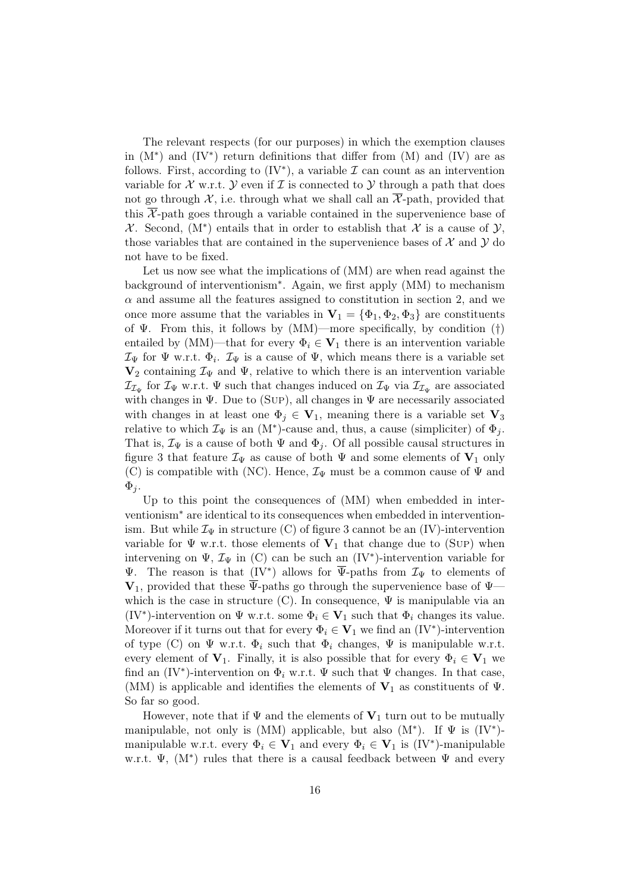The relevant respects (for our purposes) in which the exemption clauses in  $(M^*)$  and  $(IV^*)$  return definitions that differ from  $(M)$  and  $(IV)$  are as follows. First, according to  $(IV^*)$ , a variable  $\mathcal I$  can count as an intervention variable for  $\mathcal X$  w.r.t.  $\mathcal Y$  even if  $\mathcal I$  is connected to  $\mathcal Y$  through a path that does not go through X, i.e. through what we shall call an  $\overline{X}$ -path, provided that this  $\overline{\mathcal{X}}$ -path goes through a variable contained in the supervenience base of  $\mathcal{X}$ . Second,  $(M^*)$  entails that in order to establish that  $\mathcal{X}$  is a cause of  $\mathcal{Y}$ , those variables that are contained in the supervenience bases of  $\mathcal X$  and  $\mathcal Y$  do not have to be fixed.

Let us now see what the implications of (MM) are when read against the background of interventionism<sup>∗</sup> . Again, we first apply (MM) to mechanism  $\alpha$  and assume all the features assigned to constitution in section 2, and we once more assume that the variables in  $V_1 = {\Phi_1, \Phi_2, \Phi_3}$  are constituents of  $\Psi$ . From this, it follows by (MM)—more specifically, by condition (†) entailed by (MM)—that for every  $\Phi_i \in V_1$  there is an intervention variable  $\mathcal{I}_{\Psi}$  for  $\Psi$  w.r.t.  $\Phi_i$ .  $\mathcal{I}_{\Psi}$  is a cause of  $\Psi$ , which means there is a variable set  $\mathbf{V}_2$  containing  $\mathcal{I}_{\Psi}$  and  $\Psi$ , relative to which there is an intervention variable  $\mathcal{I}_{\mathcal{I}_{\Psi}}$  for  $\mathcal{I}_{\Psi}$  w.r.t.  $\Psi$  such that changes induced on  $\mathcal{I}_{\Psi}$  via  $\mathcal{I}_{\mathcal{I}_{\Psi}}$  are associated with changes in  $\Psi$ . Due to (SUP), all changes in  $\Psi$  are necessarily associated with changes in at least one  $\Phi_j \in V_1$ , meaning there is a variable set  $V_3$ relative to which  $\mathcal{I}_{\Psi}$  is an  $(M^*)$ -cause and, thus, a cause (simpliciter) of  $\Phi_j$ . That is,  $\mathcal{I}_{\Psi}$  is a cause of both  $\Psi$  and  $\Phi_j$ . Of all possible causal structures in figure 3 that feature  $\mathcal{I}_{\Psi}$  as cause of both  $\Psi$  and some elements of  $V_1$  only (C) is compatible with (NC). Hence,  $\mathcal{I}_{\Psi}$  must be a common cause of  $\Psi$  and  $\Phi_i$ .

Up to this point the consequences of (MM) when embedded in interventionism<sup>∗</sup> are identical to its consequences when embedded in interventionism. But while  $\mathcal{I}_{\Psi}$  in structure (C) of figure 3 cannot be an (IV)-intervention variable for  $\Psi$  w.r.t. those elements of  $V_1$  that change due to (Sup) when intervening on  $\Psi$ ,  $\mathcal{I}_{\Psi}$  in (C) can be such an (IV<sup>\*</sup>)-intervention variable for **V**. The reason is that  $(IV^*)$  allows for  $\overline{\Psi}$ -paths from  $\mathcal{I}_{\Psi}$  to elements of  $V_1$ , provided that these  $\overline{\Psi}$ -paths go through the supervenience base of  $\Psi$  which is the case in structure (C). In consequence,  $\Psi$  is manipulable via an (IV<sup>\*</sup>)-intervention on  $\Psi$  w.r.t. some  $\Phi_i \in V_1$  such that  $\Phi_i$  changes its value. Moreover if it turns out that for every  $\Phi_i \in V_1$  we find an  $(IV^*)$ -intervention of type (C) on  $\Psi$  w.r.t.  $\Phi_i$  such that  $\Phi_i$  changes,  $\Psi$  is manipulable w.r.t. every element of  $V_1$ . Finally, it is also possible that for every  $\Phi_i \in V_1$  we find an  $(IV^*)$ -intervention on  $\Phi_i$  w.r.t.  $\Psi$  such that  $\Psi$  changes. In that case, (MM) is applicable and identifies the elements of  $V_1$  as constituents of  $\Psi$ . So far so good.

However, note that if  $\Psi$  and the elements of  $V_1$  turn out to be mutually manipulable, not only is (MM) applicable, but also  $(M^*)$ . If  $\Psi$  is  $(IV^*)$ manipulable w.r.t. every  $\Phi_i \in V_1$  and every  $\Phi_i \in V_1$  is  $(IV^*)$ -manipulable w.r.t.  $\Psi$ ,  $(M^*)$  rules that there is a causal feedback between  $\Psi$  and every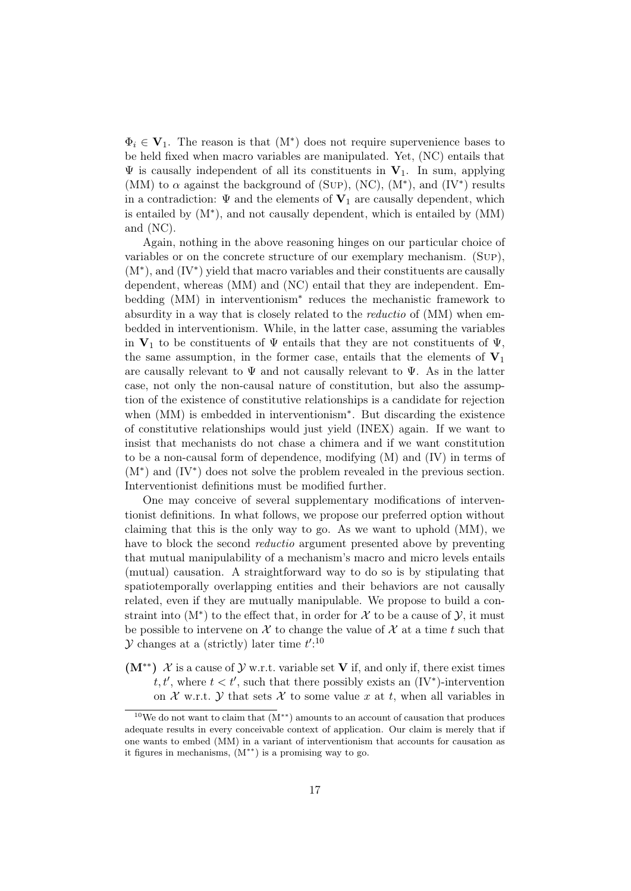$\Phi_i \in \mathbf{V}_1$ . The reason is that  $(M^*)$  does not require supervenience bases to be held fixed when macro variables are manipulated. Yet, (NC) entails that  $\Psi$  is causally independent of all its constituents in  $V_1$ . In sum, applying (MM) to  $\alpha$  against the background of (Sup), (NC), (M<sup>\*</sup>), and (IV<sup>\*</sup>) results in a contradiction:  $\Psi$  and the elements of  $V_1$  are causally dependent, which is entailed by (M<sup>∗</sup> ), and not causally dependent, which is entailed by (MM) and (NC).

Again, nothing in the above reasoning hinges on our particular choice of variables or on the concrete structure of our exemplary mechanism. (Sup), (M<sup>∗</sup> ), and (IV<sup>∗</sup> ) yield that macro variables and their constituents are causally dependent, whereas (MM) and (NC) entail that they are independent. Embedding (MM) in interventionism<sup>∗</sup> reduces the mechanistic framework to absurdity in a way that is closely related to the reductio of (MM) when embedded in interventionism. While, in the latter case, assuming the variables in  $V_1$  to be constituents of  $\Psi$  entails that they are not constituents of  $\Psi$ , the same assumption, in the former case, entails that the elements of  $V_1$ are causally relevant to  $\Psi$  and not causally relevant to  $\Psi$ . As in the latter case, not only the non-causal nature of constitution, but also the assumption of the existence of constitutive relationships is a candidate for rejection when (MM) is embedded in interventionism<sup>∗</sup> . But discarding the existence of constitutive relationships would just yield (INEX) again. If we want to insist that mechanists do not chase a chimera and if we want constitution to be a non-causal form of dependence, modifying (M) and (IV) in terms of (M<sup>∗</sup> ) and (IV<sup>∗</sup> ) does not solve the problem revealed in the previous section. Interventionist definitions must be modified further.

One may conceive of several supplementary modifications of interventionist definitions. In what follows, we propose our preferred option without claiming that this is the only way to go. As we want to uphold (MM), we have to block the second reductio argument presented above by preventing that mutual manipulability of a mechanism's macro and micro levels entails (mutual) causation. A straightforward way to do so is by stipulating that spatiotemporally overlapping entities and their behaviors are not causally related, even if they are mutually manipulable. We propose to build a constraint into  $(M^*)$  to the effect that, in order for X to be a cause of  $\mathcal{Y}$ , it must be possible to intervene on  $\mathcal X$  to change the value of  $\mathcal X$  at a time t such that  $\mathcal Y$  changes at a (strictly) later time  $t'.^{10}$ 

 $(M^{**})$  X is a cause of Y w.r.t. variable set V if, and only if, there exist times  $t, t'$ , where  $t < t'$ , such that there possibly exists an  $(IV^*)$ -intervention on  $\mathcal X$  w.r.t.  $\mathcal Y$  that sets  $\mathcal X$  to some value x at t, when all variables in

<sup>&</sup>lt;sup>10</sup>We do not want to claim that  $(M^{**})$  amounts to an account of causation that produces adequate results in every conceivable context of application. Our claim is merely that if one wants to embed (MM) in a variant of interventionism that accounts for causation as it figures in mechanisms,  $(M^{**})$  is a promising way to go.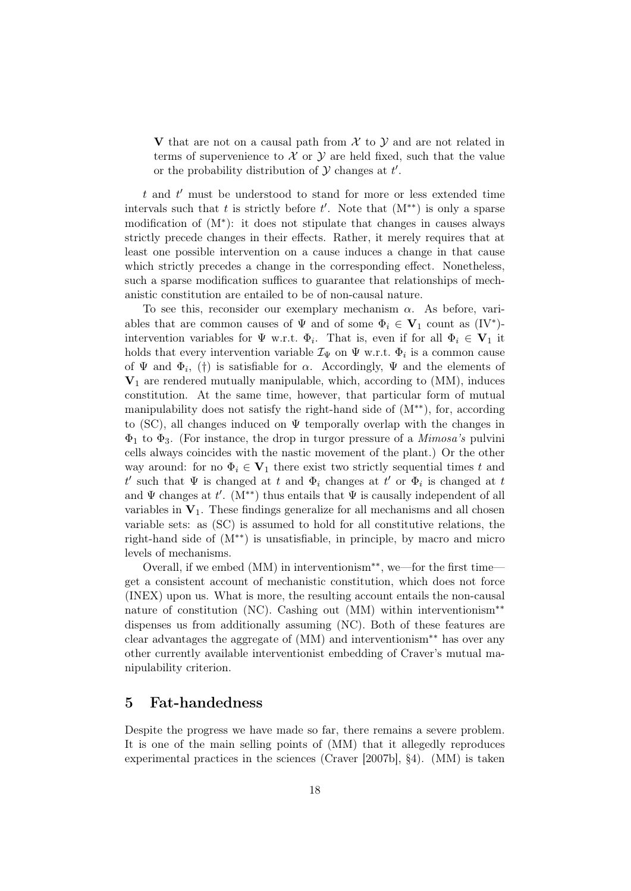V that are not on a causal path from  $\mathcal X$  to  $\mathcal Y$  and are not related in terms of supervenience to  $\mathcal X$  or  $\mathcal Y$  are held fixed, such that the value or the probability distribution of  $\mathcal Y$  changes at  $t'$ .

 $t$  and  $t'$  must be understood to stand for more or less extended time intervals such that t is strictly before t'. Note that  $(M^{**})$  is only a sparse modification of (M<sup>∗</sup> ): it does not stipulate that changes in causes always strictly precede changes in their effects. Rather, it merely requires that at least one possible intervention on a cause induces a change in that cause which strictly precedes a change in the corresponding effect. Nonetheless, such a sparse modification suffices to guarantee that relationships of mechanistic constitution are entailed to be of non-causal nature.

To see this, reconsider our exemplary mechanism  $\alpha$ . As before, variables that are common causes of  $\Psi$  and of some  $\Phi_i \in V_1$  count as  $(IV^*)$ intervention variables for  $\Psi$  w.r.t.  $\Phi_i$ . That is, even if for all  $\Phi_i \in V_1$  it holds that every intervention variable  $\mathcal{I}_{\Psi}$  on  $\Psi$  w.r.t.  $\Phi_i$  is a common cause of  $\Psi$  and  $\Phi_i$ , (†) is satisfiable for  $\alpha$ . Accordingly,  $\Psi$  and the elements of  $V_1$  are rendered mutually manipulable, which, according to  $(MM)$ , induces constitution. At the same time, however, that particular form of mutual manipulability does not satisfy the right-hand side of (M∗∗), for, according to (SC), all changes induced on  $\Psi$  temporally overlap with the changes in  $\Phi_1$  to  $\Phi_3$ . (For instance, the drop in turgor pressure of a *Mimosa's* pulvini cells always coincides with the nastic movement of the plant.) Or the other way around: for no  $\Phi_i \in V_1$  there exist two strictly sequential times t and  $t'$  such that  $\Psi$  is changed at t and  $\Phi_i$  changes at t' or  $\Phi_i$  is changed at t and  $\Psi$  changes at  $t'$ . (M<sup>\*\*</sup>) thus entails that  $\Psi$  is causally independent of all variables in  $V_1$ . These findings generalize for all mechanisms and all chosen variable sets: as (SC) is assumed to hold for all constitutive relations, the right-hand side of (M∗∗) is unsatisfiable, in principle, by macro and micro levels of mechanisms.

Overall, if we embed (MM) in interventionism∗∗, we—for the first time get a consistent account of mechanistic constitution, which does not force (INEX) upon us. What is more, the resulting account entails the non-causal nature of constitution (NC). Cashing out (MM) within interventionism<sup>∗∗</sup> dispenses us from additionally assuming (NC). Both of these features are clear advantages the aggregate of (MM) and interventionism∗∗ has over any other currently available interventionist embedding of Craver's mutual manipulability criterion.

### 5 Fat-handedness

Despite the progress we have made so far, there remains a severe problem. It is one of the main selling points of (MM) that it allegedly reproduces experimental practices in the sciences (Craver [2007b], §4). (MM) is taken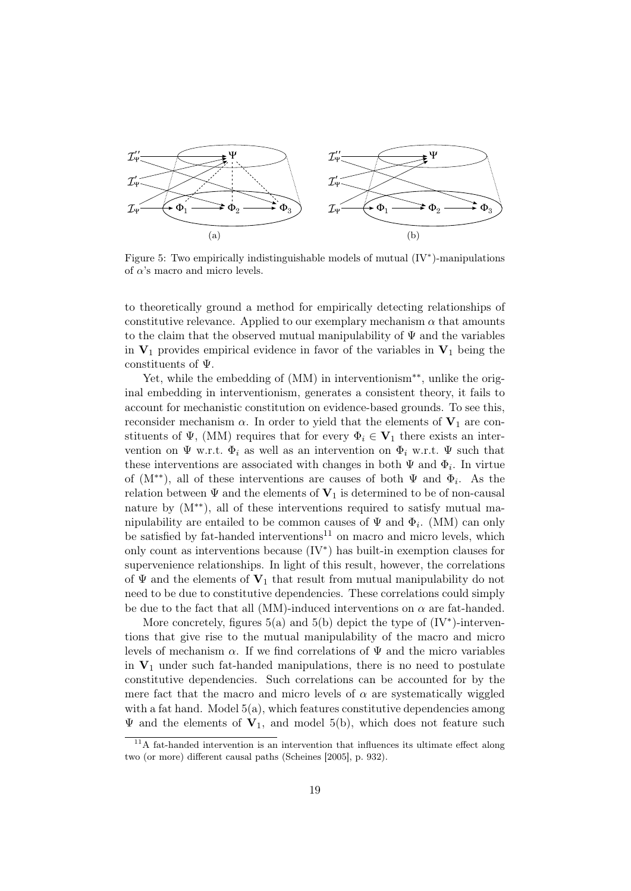

Figure 5: Two empirically indistinguishable models of mutual (IV<sup>∗</sup> )-manipulations of  $\alpha$ 's macro and micro levels.

to theoretically ground a method for empirically detecting relationships of constitutive relevance. Applied to our exemplary mechanism  $\alpha$  that amounts to the claim that the observed mutual manipulability of  $\Psi$  and the variables in  $V_1$  provides empirical evidence in favor of the variables in  $V_1$  being the constituents of Ψ.

Yet, while the embedding of (MM) in interventionism∗∗, unlike the original embedding in interventionism, generates a consistent theory, it fails to account for mechanistic constitution on evidence-based grounds. To see this, reconsider mechanism  $\alpha$ . In order to yield that the elements of  $V_1$  are constituents of  $\Psi$ , (MM) requires that for every  $\Phi_i \in V_1$  there exists an intervention on  $\Psi$  w.r.t.  $\Phi_i$  as well as an intervention on  $\Phi_i$  w.r.t.  $\Psi$  such that these interventions are associated with changes in both  $\Psi$  and  $\Phi_i$ . In virtue of  $(M^{**})$ , all of these interventions are causes of both  $\Psi$  and  $\Phi_i$ . As the relation between  $\Psi$  and the elements of  $V_1$  is determined to be of non-causal nature by  $(M<sup>**</sup>)$ , all of these interventions required to satisfy mutual manipulability are entailed to be common causes of  $\Psi$  and  $\Phi_i$ . (MM) can only be satisfied by fat-handed interventions<sup>11</sup> on macro and micro levels, which only count as interventions because (IV<sup>∗</sup> ) has built-in exemption clauses for supervenience relationships. In light of this result, however, the correlations of  $\Psi$  and the elements of  $V_1$  that result from mutual manipulability do not need to be due to constitutive dependencies. These correlations could simply be due to the fact that all (MM)-induced interventions on  $\alpha$  are fat-handed.

More concretely, figures  $5(a)$  and  $5(b)$  depict the type of  $(IV^*)$ -interventions that give rise to the mutual manipulability of the macro and micro levels of mechanism  $\alpha$ . If we find correlations of  $\Psi$  and the micro variables in  $V_1$  under such fat-handed manipulations, there is no need to postulate constitutive dependencies. Such correlations can be accounted for by the mere fact that the macro and micro levels of  $\alpha$  are systematically wiggled with a fat hand. Model  $5(a)$ , which features constitutive dependencies among  $\Psi$  and the elements of  $V_1$ , and model 5(b), which does not feature such

 $11A$  fat-handed intervention is an intervention that influences its ultimate effect along two (or more) different causal paths (Scheines [2005], p. 932).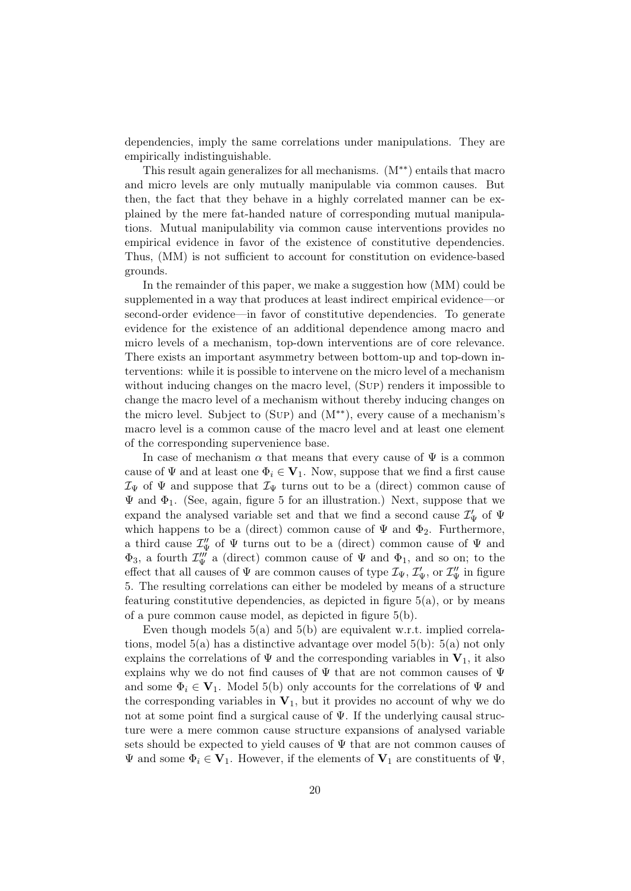dependencies, imply the same correlations under manipulations. They are empirically indistinguishable.

This result again generalizes for all mechanisms.  $(M^{**})$  entails that macro and micro levels are only mutually manipulable via common causes. But then, the fact that they behave in a highly correlated manner can be explained by the mere fat-handed nature of corresponding mutual manipulations. Mutual manipulability via common cause interventions provides no empirical evidence in favor of the existence of constitutive dependencies. Thus, (MM) is not sufficient to account for constitution on evidence-based grounds.

In the remainder of this paper, we make a suggestion how (MM) could be supplemented in a way that produces at least indirect empirical evidence—or second-order evidence—in favor of constitutive dependencies. To generate evidence for the existence of an additional dependence among macro and micro levels of a mechanism, top-down interventions are of core relevance. There exists an important asymmetry between bottom-up and top-down interventions: while it is possible to intervene on the micro level of a mechanism without inducing changes on the macro level, (SUP) renders it impossible to change the macro level of a mechanism without thereby inducing changes on the micro level. Subject to (Sup) and (M∗∗), every cause of a mechanism's macro level is a common cause of the macro level and at least one element of the corresponding supervenience base.

In case of mechanism  $\alpha$  that means that every cause of  $\Psi$  is a common cause of  $\Psi$  and at least one  $\Phi_i \in V_1$ . Now, suppose that we find a first cause  $\mathcal{I}_{\Psi}$  of  $\Psi$  and suppose that  $\mathcal{I}_{\Psi}$  turns out to be a (direct) common cause of  $\Psi$  and  $\Phi_1$ . (See, again, figure 5 for an illustration.) Next, suppose that we expand the analysed variable set and that we find a second cause  $\mathcal{I}_{\Psi}^{\prime}$  of  $\Psi$ which happens to be a (direct) common cause of  $\Psi$  and  $\Phi_2$ . Furthermore, a third cause  $\mathcal{I}_{\Psi}'$  of  $\Psi$  turns out to be a (direct) common cause of  $\Psi$  and  $\Phi_3$ , a fourth  $\mathcal{I}_{\Psi}'''$  a (direct) common cause of  $\Psi$  and  $\Phi_1$ , and so on; to the effect that all causes of  $\Psi$  are common causes of type  $\mathcal{I}_\Psi, \mathcal{I}'_\Psi,$  or  $\mathcal{I}''_\Psi$  in figure 5. The resulting correlations can either be modeled by means of a structure featuring constitutive dependencies, as depicted in figure 5(a), or by means of a pure common cause model, as depicted in figure 5(b).

Even though models 5(a) and 5(b) are equivalent w.r.t. implied correlations, model  $5(a)$  has a distinctive advantage over model  $5(b)$ :  $5(a)$  not only explains the correlations of  $\Psi$  and the corresponding variables in  $V_1$ , it also explains why we do not find causes of  $\Psi$  that are not common causes of  $\Psi$ and some  $\Phi_i \in V_1$ . Model 5(b) only accounts for the correlations of  $\Psi$  and the corresponding variables in  $V_1$ , but it provides no account of why we do not at some point find a surgical cause of  $\Psi$ . If the underlying causal structure were a mere common cause structure expansions of analysed variable sets should be expected to yield causes of  $\Psi$  that are not common causes of  $\Psi$  and some  $\Phi_i \in \mathbf{V}_1$ . However, if the elements of  $\mathbf{V}_1$  are constituents of  $\Psi$ ,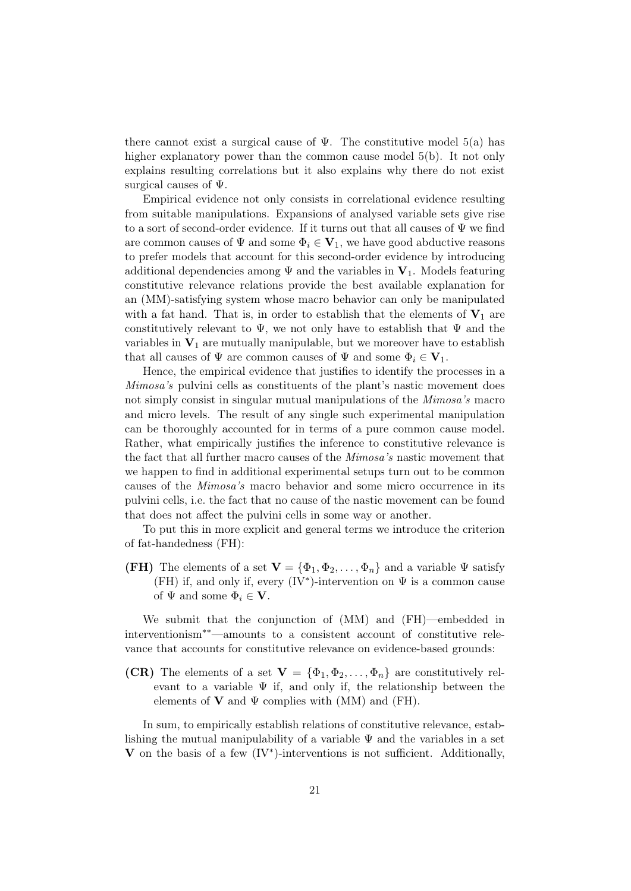there cannot exist a surgical cause of  $\Psi$ . The constitutive model 5(a) has higher explanatory power than the common cause model 5(b). It not only explains resulting correlations but it also explains why there do not exist surgical causes of  $\Psi$ .

Empirical evidence not only consists in correlational evidence resulting from suitable manipulations. Expansions of analysed variable sets give rise to a sort of second-order evidence. If it turns out that all causes of  $\Psi$  we find are common causes of  $\Psi$  and some  $\Phi_i \in V_1$ , we have good abductive reasons to prefer models that account for this second-order evidence by introducing additional dependencies among  $\Psi$  and the variables in  $V_1$ . Models featuring constitutive relevance relations provide the best available explanation for an (MM)-satisfying system whose macro behavior can only be manipulated with a fat hand. That is, in order to establish that the elements of  $V_1$  are constitutively relevant to  $\Psi$ , we not only have to establish that  $\Psi$  and the variables in  $V_1$  are mutually manipulable, but we moreover have to establish that all causes of  $\Psi$  are common causes of  $\Psi$  and some  $\Phi_i \in \mathbf{V}_1$ .

Hence, the empirical evidence that justifies to identify the processes in a Mimosa's pulvini cells as constituents of the plant's nastic movement does not simply consist in singular mutual manipulations of the *Mimosa's* macro and micro levels. The result of any single such experimental manipulation can be thoroughly accounted for in terms of a pure common cause model. Rather, what empirically justifies the inference to constitutive relevance is the fact that all further macro causes of the Mimosa's nastic movement that we happen to find in additional experimental setups turn out to be common causes of the Mimosa's macro behavior and some micro occurrence in its pulvini cells, i.e. the fact that no cause of the nastic movement can be found that does not affect the pulvini cells in some way or another.

To put this in more explicit and general terms we introduce the criterion of fat-handedness (FH):

(FH) The elements of a set  $\mathbf{V} = {\phi_1, \phi_2, \dots, \phi_n}$  and a variable  $\Psi$  satisfy (FH) if, and only if, every (IV<sup>\*</sup>)-intervention on  $\Psi$  is a common cause of  $\Psi$  and some  $\Phi_i \in \mathbf{V}$ .

We submit that the conjunction of (MM) and (FH)—embedded in interventionism∗∗—amounts to a consistent account of constitutive relevance that accounts for constitutive relevance on evidence-based grounds:

(CR) The elements of a set  $\mathbf{V} = {\Phi_1, \Phi_2, \dots, \Phi_n}$  are constitutively relevant to a variable  $\Psi$  if, and only if, the relationship between the elements of  $V$  and  $\Psi$  complies with (MM) and (FH).

In sum, to empirically establish relations of constitutive relevance, establishing the mutual manipulability of a variable  $\Psi$  and the variables in a set V on the basis of a few  $(IV^*)$ -interventions is not sufficient. Additionally,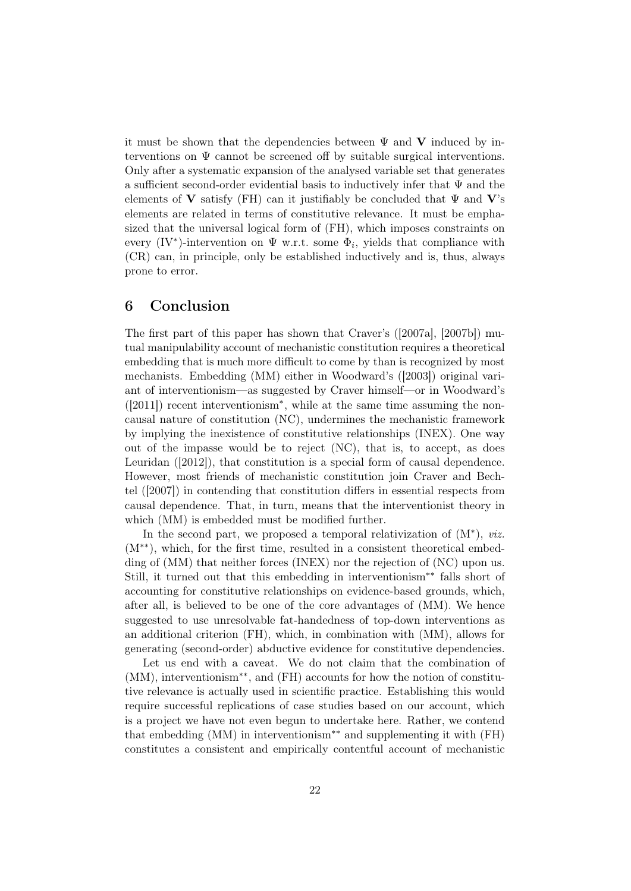it must be shown that the dependencies between  $\Psi$  and  $V$  induced by interventions on  $\Psi$  cannot be screened off by suitable surgical interventions. Only after a systematic expansion of the analysed variable set that generates a sufficient second-order evidential basis to inductively infer that  $\Psi$  and the elements of **V** satisfy (FH) can it justifiably be concluded that  $\Psi$  and **V**'s elements are related in terms of constitutive relevance. It must be emphasized that the universal logical form of (FH), which imposes constraints on every (IV<sup>\*</sup>)-intervention on  $\Psi$  w.r.t. some  $\Phi_i$ , yields that compliance with (CR) can, in principle, only be established inductively and is, thus, always prone to error.

## 6 Conclusion

The first part of this paper has shown that Craver's ([2007a], [2007b]) mutual manipulability account of mechanistic constitution requires a theoretical embedding that is much more difficult to come by than is recognized by most mechanists. Embedding (MM) either in Woodward's ([2003]) original variant of interventionism—as suggested by Craver himself—or in Woodward's ([2011]) recent interventionism<sup>∗</sup> , while at the same time assuming the noncausal nature of constitution (NC), undermines the mechanistic framework by implying the inexistence of constitutive relationships (INEX). One way out of the impasse would be to reject (NC), that is, to accept, as does Leuridan ([2012]), that constitution is a special form of causal dependence. However, most friends of mechanistic constitution join Craver and Bechtel ([2007]) in contending that constitution differs in essential respects from causal dependence. That, in turn, means that the interventionist theory in which (MM) is embedded must be modified further.

In the second part, we proposed a temporal relativization of  $(M^*)$ , *viz.* (M∗∗), which, for the first time, resulted in a consistent theoretical embedding of (MM) that neither forces (INEX) nor the rejection of (NC) upon us. Still, it turned out that this embedding in interventionism∗∗ falls short of accounting for constitutive relationships on evidence-based grounds, which, after all, is believed to be one of the core advantages of (MM). We hence suggested to use unresolvable fat-handedness of top-down interventions as an additional criterion (FH), which, in combination with (MM), allows for generating (second-order) abductive evidence for constitutive dependencies.

Let us end with a caveat. We do not claim that the combination of (MM), interventionism∗∗, and (FH) accounts for how the notion of constitutive relevance is actually used in scientific practice. Establishing this would require successful replications of case studies based on our account, which is a project we have not even begun to undertake here. Rather, we contend that embedding (MM) in interventionism∗∗ and supplementing it with (FH) constitutes a consistent and empirically contentful account of mechanistic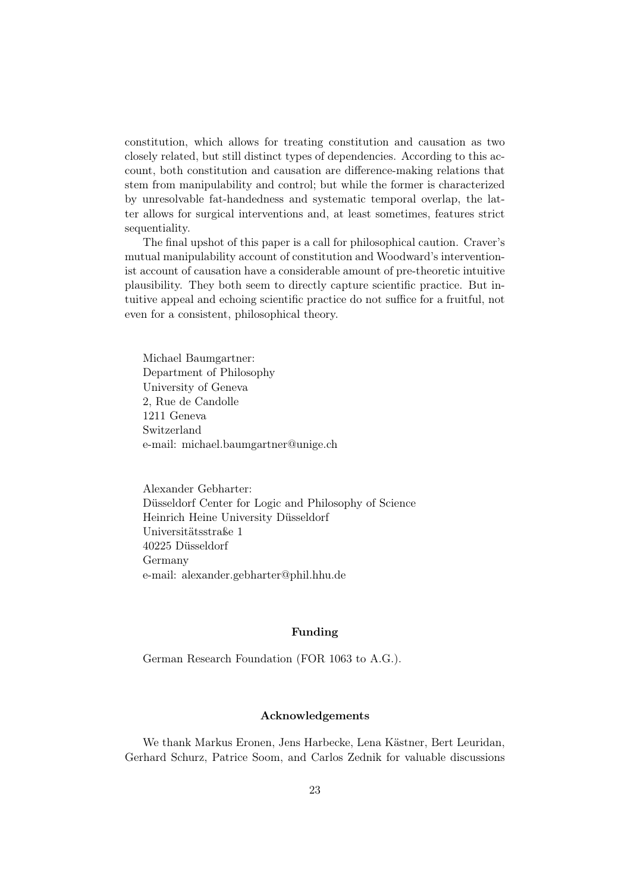constitution, which allows for treating constitution and causation as two closely related, but still distinct types of dependencies. According to this account, both constitution and causation are difference-making relations that stem from manipulability and control; but while the former is characterized by unresolvable fat-handedness and systematic temporal overlap, the latter allows for surgical interventions and, at least sometimes, features strict sequentiality.

The final upshot of this paper is a call for philosophical caution. Craver's mutual manipulability account of constitution and Woodward's interventionist account of causation have a considerable amount of pre-theoretic intuitive plausibility. They both seem to directly capture scientific practice. But intuitive appeal and echoing scientific practice do not suffice for a fruitful, not even for a consistent, philosophical theory.

Michael Baumgartner: Department of Philosophy University of Geneva 2, Rue de Candolle 1211 Geneva Switzerland e-mail: michael.baumgartner@unige.ch

Alexander Gebharter: Düsseldorf Center for Logic and Philosophy of Science Heinrich Heine University Düsseldorf Universitätsstraße 1 40225 Düsseldorf Germany e-mail: alexander.gebharter@phil.hhu.de

#### Funding

German Research Foundation (FOR 1063 to A.G.).

#### Acknowledgements

We thank Markus Eronen, Jens Harbecke, Lena Kästner, Bert Leuridan, Gerhard Schurz, Patrice Soom, and Carlos Zednik for valuable discussions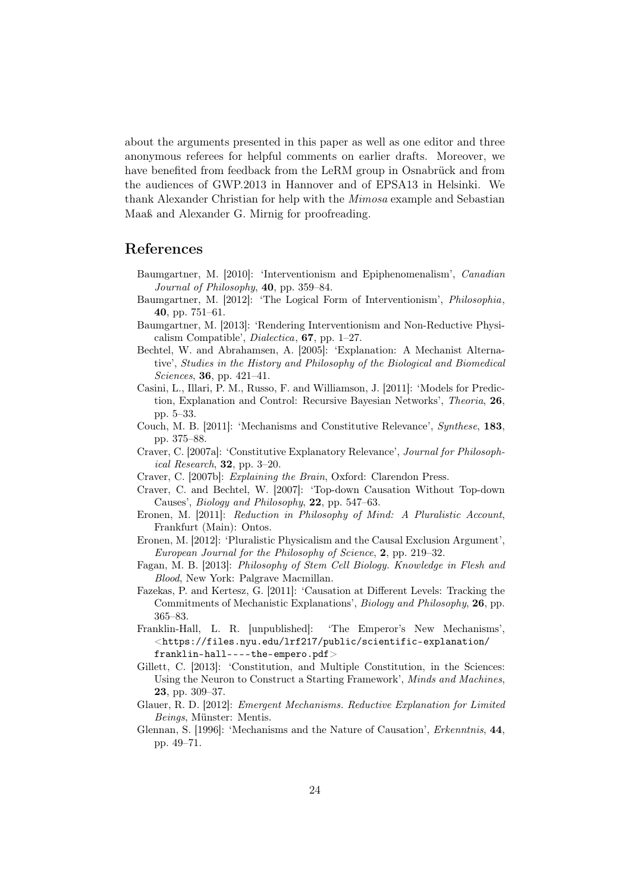about the arguments presented in this paper as well as one editor and three anonymous referees for helpful comments on earlier drafts. Moreover, we have benefited from feedback from the LeRM group in Osnabrück and from the audiences of GWP.2013 in Hannover and of EPSA13 in Helsinki. We thank Alexander Christian for help with the Mimosa example and Sebastian Maaß and Alexander G. Mirnig for proofreading.

### References

- Baumgartner, M. [2010]: 'Interventionism and Epiphenomenalism', Canadian Journal of Philosophy, 40, pp. 359–84.
- Baumgartner, M. [2012]: 'The Logical Form of Interventionism', Philosophia, 40, pp. 751–61.
- Baumgartner, M. [2013]: 'Rendering Interventionism and Non-Reductive Physicalism Compatible', Dialectica, 67, pp. 1–27.
- Bechtel, W. and Abrahamsen, A. [2005]: 'Explanation: A Mechanist Alternative', Studies in the History and Philosophy of the Biological and Biomedical Sciences, 36, pp. 421–41.
- Casini, L., Illari, P. M., Russo, F. and Williamson, J. [2011]: 'Models for Prediction, Explanation and Control: Recursive Bayesian Networks', Theoria, 26, pp. 5–33.
- Couch, M. B. [2011]: 'Mechanisms and Constitutive Relevance', Synthese, 183, pp. 375–88.
- Craver, C. [2007a]: 'Constitutive Explanatory Relevance', Journal for Philosophical Research,  $32$ , pp.  $3-20$ .
- Craver, C. [2007b]: Explaining the Brain, Oxford: Clarendon Press.
- Craver, C. and Bechtel, W. [2007]: 'Top-down Causation Without Top-down Causes', Biology and Philosophy, 22, pp. 547–63.
- Eronen, M. [2011]: Reduction in Philosophy of Mind: A Pluralistic Account, Frankfurt (Main): Ontos.
- Eronen, M. [2012]: 'Pluralistic Physicalism and the Causal Exclusion Argument', European Journal for the Philosophy of Science, 2, pp. 219–32.
- Fagan, M. B. [2013]: Philosophy of Stem Cell Biology. Knowledge in Flesh and Blood, New York: Palgrave Macmillan.
- Fazekas, P. and Kertesz, G. [2011]: 'Causation at Different Levels: Tracking the Commitments of Mechanistic Explanations', Biology and Philosophy, 26, pp. 365–83.
- Franklin-Hall, L. R. [unpublished]: 'The Emperor's New Mechanisms', <https://files.nyu.edu/lrf217/public/scientific-explanation/ franklin-hall----the-empero.pdf>
- Gillett, C. [2013]: 'Constitution, and Multiple Constitution, in the Sciences: Using the Neuron to Construct a Starting Framework', Minds and Machines, 23, pp. 309–37.
- Glauer, R. D. [2012]: Emergent Mechanisms. Reductive Explanation for Limited Beings, Münster: Mentis.
- Glennan, S. [1996]: 'Mechanisms and the Nature of Causation', Erkenntnis, 44, pp. 49–71.